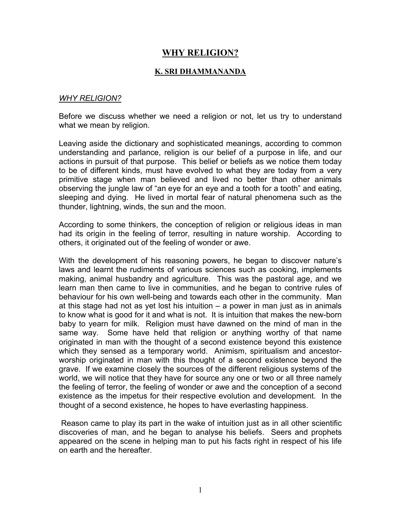# **WHY RELIGION?**

#### **K. SRI DHAMMANANDA**

#### *WHY RELIGION?*

Before we discuss whether we need a religion or not, let us try to understand what we mean by religion.

Leaving aside the dictionary and sophisticated meanings, according to common understanding and parlance, religion is our belief of a purpose in life, and our actions in pursuit of that purpose. This belief or beliefs as we notice them today to be of different kinds, must have evolved to what they are today from a very primitive stage when man believed and lived no better than other animals observing the jungle law of "an eye for an eye and a tooth for a tooth" and eating, sleeping and dying. He lived in mortal fear of natural phenomena such as the thunder, lightning, winds, the sun and the moon.

According to some thinkers, the conception of religion or religious ideas in man had its origin in the feeling of terror, resulting in nature worship. According to others, it originated out of the feeling of wonder or awe.

With the development of his reasoning powers, he began to discover nature's laws and learnt the rudiments of various sciences such as cooking, implements making, animal husbandry and agriculture. This was the pastoral age, and we learn man then came to live in communities, and he began to contrive rules of behaviour for his own well-being and towards each other in the community. Man at this stage had not as yet lost his intuition – a power in man just as in animals to know what is good for it and what is not. It is intuition that makes the new-born baby to yearn for milk. Religion must have dawned on the mind of man in the same way. Some have held that religion or anything worthy of that name originated in man with the thought of a second existence beyond this existence which they sensed as a temporary world. Animism, spiritualism and ancestorworship originated in man with this thought of a second existence beyond the grave. If we examine closely the sources of the different religious systems of the world, we will notice that they have for source any one or two or all three namely the feeling of terror, the feeling of wonder or awe and the conception of a second existence as the impetus for their respective evolution and development. In the thought of a second existence, he hopes to have everlasting happiness.

Reason came to play its part in the wake of intuition just as in all other scientific discoveries of man, and he began to analyse his beliefs. Seers and prophets appeared on the scene in helping man to put his facts right in respect of his life on earth and the hereafter.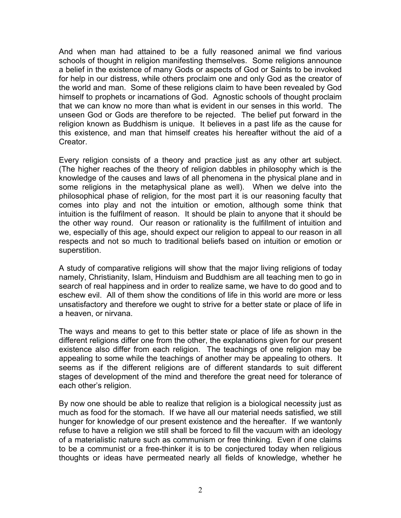And when man had attained to be a fully reasoned animal we find various schools of thought in religion manifesting themselves. Some religions announce a belief in the existence of many Gods or aspects of God or Saints to be invoked for help in our distress, while others proclaim one and only God as the creator of the world and man. Some of these religions claim to have been revealed by God himself to prophets or incarnations of God. Agnostic schools of thought proclaim that we can know no more than what is evident in our senses in this world. The unseen God or Gods are therefore to be rejected. The belief put forward in the religion known as Buddhism is unique. It believes in a past life as the cause for this existence, and man that himself creates his hereafter without the aid of a Creator.

Every religion consists of a theory and practice just as any other art subject. (The higher reaches of the theory of religion dabbles in philosophy which is the knowledge of the causes and laws of all phenomena in the physical plane and in some religions in the metaphysical plane as well). When we delve into the philosophical phase of religion, for the most part it is our reasoning faculty that comes into play and not the intuition or emotion, although some think that intuition is the fulfilment of reason. It should be plain to anyone that it should be the other way round. Our reason or rationality is the fulfillment of intuition and we, especially of this age, should expect our religion to appeal to our reason in all respects and not so much to traditional beliefs based on intuition or emotion or superstition.

A study of comparative religions will show that the major living religions of today namely, Christianity, Islam, Hinduism and Buddhism are all teaching men to go in search of real happiness and in order to realize same, we have to do good and to eschew evil. All of them show the conditions of life in this world are more or less unsatisfactory and therefore we ought to strive for a better state or place of life in a heaven, or nirvana.

The ways and means to get to this better state or place of life as shown in the different religions differ one from the other, the explanations given for our present existence also differ from each religion. The teachings of one religion may be appealing to some while the teachings of another may be appealing to others. It seems as if the different religions are of different standards to suit different stages of development of the mind and therefore the great need for tolerance of each other's religion.

By now one should be able to realize that religion is a biological necessity just as much as food for the stomach. If we have all our material needs satisfied, we still hunger for knowledge of our present existence and the hereafter. If we wantonly refuse to have a religion we still shall be forced to fill the vacuum with an ideology of a materialistic nature such as communism or free thinking. Even if one claims to be a communist or a free-thinker it is to be conjectured today when religious thoughts or ideas have permeated nearly all fields of knowledge, whether he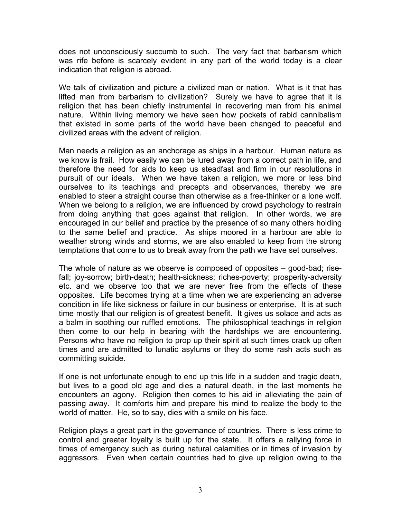does not unconsciously succumb to such. The very fact that barbarism which was rife before is scarcely evident in any part of the world today is a clear indication that religion is abroad.

We talk of civilization and picture a civilized man or nation. What is it that has lifted man from barbarism to civilization? Surely we have to agree that it is religion that has been chiefly instrumental in recovering man from his animal nature. Within living memory we have seen how pockets of rabid cannibalism that existed in some parts of the world have been changed to peaceful and civilized areas with the advent of religion.

Man needs a religion as an anchorage as ships in a harbour. Human nature as we know is frail. How easily we can be lured away from a correct path in life, and therefore the need for aids to keep us steadfast and firm in our resolutions in pursuit of our ideals. When we have taken a religion, we more or less bind ourselves to its teachings and precepts and observances, thereby we are enabled to steer a straight course than otherwise as a free-thinker or a lone wolf. When we belong to a religion, we are influenced by crowd psychology to restrain from doing anything that goes against that religion. In other words, we are encouraged in our belief and practice by the presence of so many others holding to the same belief and practice. As ships moored in a harbour are able to weather strong winds and storms, we are also enabled to keep from the strong temptations that come to us to break away from the path we have set ourselves.

The whole of nature as we observe is composed of opposites – good-bad; risefall; joy-sorrow; birth-death; health-sickness; riches-poverty; prosperity-adversity etc. and we observe too that we are never free from the effects of these opposites. Life becomes trying at a time when we are experiencing an adverse condition in life like sickness or failure in our business or enterprise. It is at such time mostly that our religion is of greatest benefit. It gives us solace and acts as a balm in soothing our ruffled emotions. The philosophical teachings in religion then come to our help in bearing with the hardships we are encountering. Persons who have no religion to prop up their spirit at such times crack up often times and are admitted to lunatic asylums or they do some rash acts such as committing suicide.

If one is not unfortunate enough to end up this life in a sudden and tragic death, but lives to a good old age and dies a natural death, in the last moments he encounters an agony. Religion then comes to his aid in alleviating the pain of passing away. It comforts him and prepare his mind to realize the body to the world of matter. He, so to say, dies with a smile on his face.

Religion plays a great part in the governance of countries. There is less crime to control and greater loyalty is built up for the state. It offers a rallying force in times of emergency such as during natural calamities or in times of invasion by aggressors. Even when certain countries had to give up religion owing to the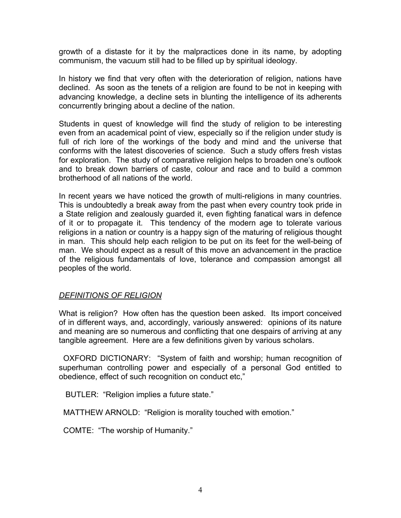growth of a distaste for it by the malpractices done in its name, by adopting communism, the vacuum still had to be filled up by spiritual ideology.

In history we find that very often with the deterioration of religion, nations have declined. As soon as the tenets of a religion are found to be not in keeping with advancing knowledge, a decline sets in blunting the intelligence of its adherents concurrently bringing about a decline of the nation.

Students in quest of knowledge will find the study of religion to be interesting even from an academical point of view, especially so if the religion under study is full of rich lore of the workings of the body and mind and the universe that conforms with the latest discoveries of science. Such a study offers fresh vistas for exploration. The study of comparative religion helps to broaden one's outlook and to break down barriers of caste, colour and race and to build a common brotherhood of all nations of the world.

In recent years we have noticed the growth of multi-religions in many countries. This is undoubtedly a break away from the past when every country took pride in a State religion and zealously guarded it, even fighting fanatical wars in defence of it or to propagate it. This tendency of the modern age to tolerate various religions in a nation or country is a happy sign of the maturing of religious thought in man. This should help each religion to be put on its feet for the well-being of man. We should expect as a result of this move an advancement in the practice of the religious fundamentals of love, tolerance and compassion amongst all peoples of the world.

#### *DEFINITIONS OF RELIGION*

What is religion? How often has the question been asked. Its import conceived of in different ways, and, accordingly, variously answered: opinions of its nature and meaning are so numerous and conflicting that one despairs of arriving at any tangible agreement. Here are a few definitions given by various scholars.

OXFORD DICTIONARY: "System of faith and worship; human recognition of superhuman controlling power and especially of a personal God entitled to obedience, effect of such recognition on conduct etc,"

BUTLER: "Religion implies a future state."

MATTHEW ARNOLD: "Religion is morality touched with emotion."

COMTE: "The worship of Humanity."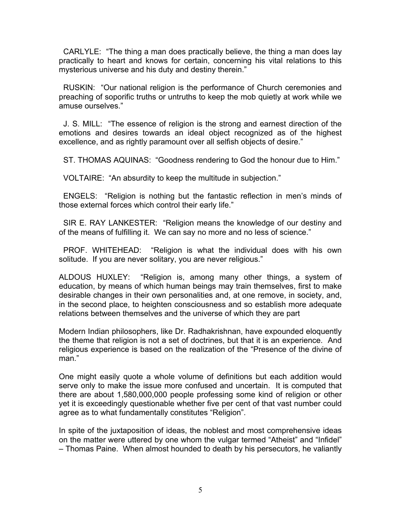CARLYLE: "The thing a man does practically believe, the thing a man does lay practically to heart and knows for certain, concerning his vital relations to this mysterious universe and his duty and destiny therein."

RUSKIN: "Our national religion is the performance of Church ceremonies and preaching of soporific truths or untruths to keep the mob quietly at work while we amuse ourselves."

J. S. MILL: "The essence of religion is the strong and earnest direction of the emotions and desires towards an ideal object recognized as of the highest excellence, and as rightly paramount over all selfish objects of desire."

ST. THOMAS AQUINAS: "Goodness rendering to God the honour due to Him."

VOLTAIRE: "An absurdity to keep the multitude in subjection."

ENGELS: "Religion is nothing but the fantastic reflection in men's minds of those external forces which control their early life."

SIR E. RAY LANKESTER: "Religion means the knowledge of our destiny and of the means of fulfilling it. We can say no more and no less of science."

PROF. WHITEHEAD: "Religion is what the individual does with his own solitude. If you are never solitary, you are never religious."

ALDOUS HUXLEY: "Religion is, among many other things, a system of education, by means of which human beings may train themselves, first to make desirable changes in their own personalities and, at one remove, in society, and, in the second place, to heighten consciousness and so establish more adequate relations between themselves and the universe of which they are part

Modern Indian philosophers, like Dr. Radhakrishnan, have expounded eloquently the theme that religion is not a set of doctrines, but that it is an experience. And religious experience is based on the realization of the "Presence of the divine of man<sup>"</sup>

One might easily quote a whole volume of definitions but each addition would serve only to make the issue more confused and uncertain. It is computed that there are about 1,580,000,000 people professing some kind of religion or other yet it is exceedingly questionable whether five per cent of that vast number could agree as to what fundamentally constitutes "Religion".

In spite of the juxtaposition of ideas, the noblest and most comprehensive ideas on the matter were uttered by one whom the vulgar termed "Atheist" and "Infidel" – Thomas Paine. When almost hounded to death by his persecutors, he valiantly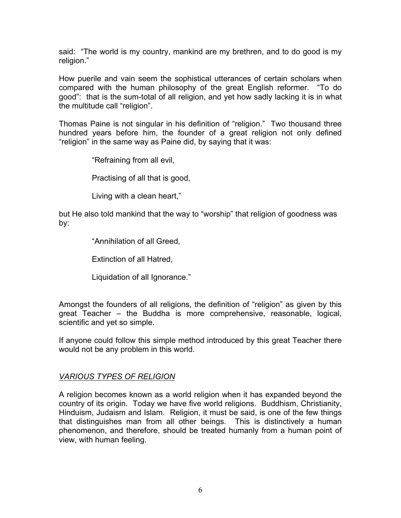said: "The world is my country, mankind are my brethren, and to do good is my religion."

How puerile and vain seem the sophistical utterances of certain scholars when compared with the human philosophy of the great English reformer. "To do good": that is the sum-total of all religion, and yet how sadly lacking it is in what the multitude call "religion".

Thomas Paine is not singular in his definition of "religion." Two thousand three hundred years before him, the founder of a great religion not only defined "religion" in the same way as Paine did, by saying that it was:

"Refraining from all evil,

Practising of all that is good,

Living with a clean heart,"

but He also told mankind that the way to "worship" that religion of goodness was by:

"Annihilation of all Greed,

Extinction of all Hatred,

Liquidation of all Ignorance."

Amongst the founders of all religions, the definition of "religion" as given by this great Teacher – the Buddha is more comprehensive, reasonable, logical, scientific and yet so simple.

If anyone could follow this simple method introduced by this great Teacher there would not be any problem in this world.

#### *VARIOUS TYPES OF RELIGION*

A religion becomes known as a world religion when it has expanded beyond the country of its origin. Today we have five world religions. Buddhism, Christianity, Hinduism, Judaism and Islam. Religion, it must be said, is one of the few things that distinguishes man from all other beings. This is distinctively a human phenomenon, and therefore, should be treated humanly from a human point of view, with human feeling.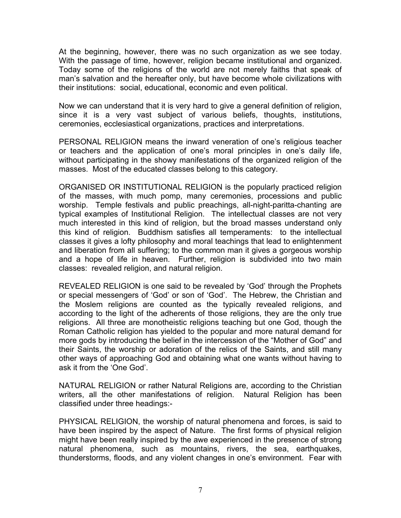At the beginning, however, there was no such organization as we see today. With the passage of time, however, religion became institutional and organized. Today some of the religions of the world are not merely faiths that speak of man's salvation and the hereafter only, but have become whole civilizations with their institutions: social, educational, economic and even political.

Now we can understand that it is very hard to give a general definition of religion, since it is a very vast subject of various beliefs, thoughts, institutions, ceremonies, ecclesiastical organizations, practices and interpretations.

PERSONAL RELIGION means the inward veneration of one's religious teacher or teachers and the application of one's moral principles in one's daily life, without participating in the showy manifestations of the organized religion of the masses. Most of the educated classes belong to this category.

ORGANISED OR INSTITUTIONAL RELIGION is the popularly practiced religion of the masses, with much pomp, many ceremonies, processions and public worship. Temple festivals and public preachings, all-night-paritta-chanting are typical examples of Institutional Religion. The intellectual classes are not very much interested in this kind of religion, but the broad masses understand only this kind of religion. Buddhism satisfies all temperaments: to the intellectual classes it gives a lofty philosophy and moral teachings that lead to enlightenment and liberation from all suffering; to the common man it gives a gorgeous worship and a hope of life in heaven. Further, religion is subdivided into two main classes: revealed religion, and natural religion.

REVEALED RELIGION is one said to be revealed by 'God' through the Prophets or special messengers of 'God' or son of 'God'. The Hebrew, the Christian and the Moslem religions are counted as the typically revealed religions, and according to the light of the adherents of those religions, they are the only true religions. All three are monotheistic religions teaching but one God, though the Roman Catholic religion has yielded to the popular and more natural demand for more gods by introducing the belief in the intercession of the "Mother of God" and their Saints, the worship or adoration of the relics of the Saints, and still many other ways of approaching God and obtaining what one wants without having to ask it from the 'One God'.

NATURAL RELIGION or rather Natural Religions are, according to the Christian writers, all the other manifestations of religion. Natural Religion has been classified under three headings:-

PHYSICAL RELIGION, the worship of natural phenomena and forces, is said to have been inspired by the aspect of Nature. The first forms of physical religion might have been really inspired by the awe experienced in the presence of strong natural phenomena, such as mountains, rivers, the sea, earthquakes, thunderstorms, floods, and any violent changes in one's environment. Fear with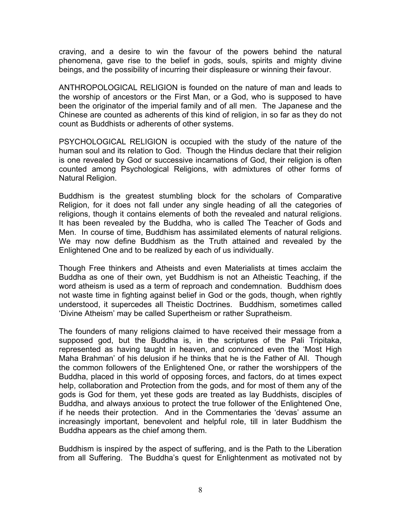craving, and a desire to win the favour of the powers behind the natural phenomena, gave rise to the belief in gods, souls, spirits and mighty divine beings, and the possibility of incurring their displeasure or winning their favour.

ANTHROPOLOGICAL RELIGION is founded on the nature of man and leads to the worship of ancestors or the First Man, or a God, who is supposed to have been the originator of the imperial family and of all men. The Japanese and the Chinese are counted as adherents of this kind of religion, in so far as they do not count as Buddhists or adherents of other systems.

PSYCHOLOGICAL RELIGION is occupied with the study of the nature of the human soul and its relation to God. Though the Hindus declare that their religion is one revealed by God or successive incarnations of God, their religion is often counted among Psychological Religions, with admixtures of other forms of Natural Religion.

Buddhism is the greatest stumbling block for the scholars of Comparative Religion, for it does not fall under any single heading of all the categories of religions, though it contains elements of both the revealed and natural religions. It has been revealed by the Buddha, who is called The Teacher of Gods and Men. In course of time, Buddhism has assimilated elements of natural religions. We may now define Buddhism as the Truth attained and revealed by the Enlightened One and to be realized by each of us individually.

Though Free thinkers and Atheists and even Materialists at times acclaim the Buddha as one of their own, yet Buddhism is not an Atheistic Teaching, if the word atheism is used as a term of reproach and condemnation. Buddhism does not waste time in fighting against belief in God or the gods, though, when rightly understood, it supercedes all Theistic Doctrines. Buddhism, sometimes called 'Divine Atheism' may be called Supertheism or rather Supratheism.

The founders of many religions claimed to have received their message from a supposed god, but the Buddha is, in the scriptures of the Pali Tripitaka, represented as having taught in heaven, and convinced even the 'Most High Maha Brahman' of his delusion if he thinks that he is the Father of All. Though the common followers of the Enlightened One, or rather the worshippers of the Buddha, placed in this world of opposing forces, and factors, do at times expect help, collaboration and Protection from the gods, and for most of them any of the gods is God for them, yet these gods are treated as lay Buddhists, disciples of Buddha, and always anxious to protect the true follower of the Enlightened One, if he needs their protection. And in the Commentaries the 'devas' assume an increasingly important, benevolent and helpful role, till in later Buddhism the Buddha appears as the chief among them.

Buddhism is inspired by the aspect of suffering, and is the Path to the Liberation from all Suffering. The Buddha's quest for Enlightenment as motivated not by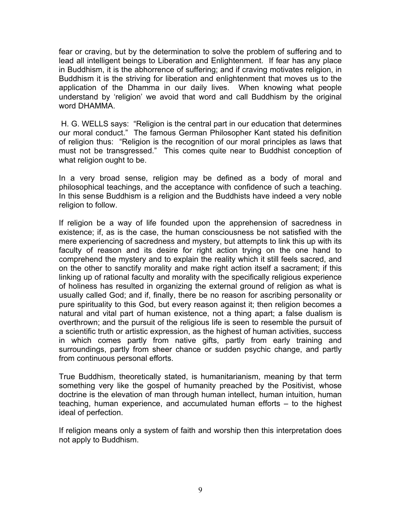fear or craving, but by the determination to solve the problem of suffering and to lead all intelligent beings to Liberation and Enlightenment. If fear has any place in Buddhism, it is the abhorrence of suffering; and if craving motivates religion, in Buddhism it is the striving for liberation and enlightenment that moves us to the application of the Dhamma in our daily lives. When knowing what people understand by 'religion' we avoid that word and call Buddhism by the original word DHAMMA.

H. G. WELLS says: "Religion is the central part in our education that determines our moral conduct." The famous German Philosopher Kant stated his definition of religion thus: "Religion is the recognition of our moral principles as laws that must not be transgressed." This comes quite near to Buddhist conception of what religion ought to be.

In a very broad sense, religion may be defined as a body of moral and philosophical teachings, and the acceptance with confidence of such a teaching. In this sense Buddhism is a religion and the Buddhists have indeed a very noble religion to follow.

If religion be a way of life founded upon the apprehension of sacredness in existence; if, as is the case, the human consciousness be not satisfied with the mere experiencing of sacredness and mystery, but attempts to link this up with its faculty of reason and its desire for right action trying on the one hand to comprehend the mystery and to explain the reality which it still feels sacred, and on the other to sanctify morality and make right action itself a sacrament; if this linking up of rational faculty and morality with the specifically religious experience of holiness has resulted in organizing the external ground of religion as what is usually called God; and if, finally, there be no reason for ascribing personality or pure spirituality to this God, but every reason against it; then religion becomes a natural and vital part of human existence, not a thing apart; a false dualism is overthrown; and the pursuit of the religious life is seen to resemble the pursuit of a scientific truth or artistic expression, as the highest of human activities, success in which comes partly from native gifts, partly from early training and surroundings, partly from sheer chance or sudden psychic change, and partly from continuous personal efforts.

True Buddhism, theoretically stated, is humanitarianism, meaning by that term something very like the gospel of humanity preached by the Positivist, whose doctrine is the elevation of man through human intellect, human intuition, human teaching, human experience, and accumulated human efforts – to the highest ideal of perfection.

If religion means only a system of faith and worship then this interpretation does not apply to Buddhism.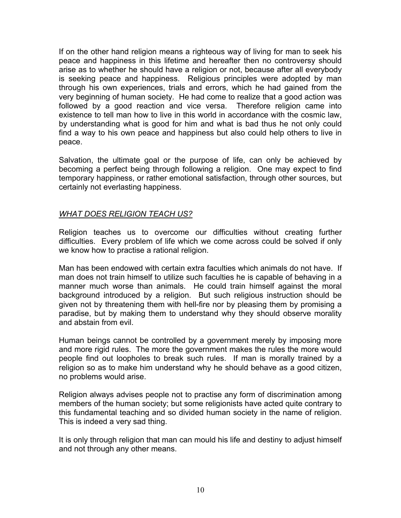If on the other hand religion means a righteous way of living for man to seek his peace and happiness in this lifetime and hereafter then no controversy should arise as to whether he should have a religion or not, because after all everybody is seeking peace and happiness. Religious principles were adopted by man through his own experiences, trials and errors, which he had gained from the very beginning of human society. He had come to realize that a good action was followed by a good reaction and vice versa. Therefore religion came into existence to tell man how to live in this world in accordance with the cosmic law, by understanding what is good for him and what is bad thus he not only could find a way to his own peace and happiness but also could help others to live in peace.

Salvation, the ultimate goal or the purpose of life, can only be achieved by becoming a perfect being through following a religion. One may expect to find temporary happiness, or rather emotional satisfaction, through other sources, but certainly not everlasting happiness.

#### *WHAT DOES RELIGION TEACH US?*

Religion teaches us to overcome our difficulties without creating further difficulties. Every problem of life which we come across could be solved if only we know how to practise a rational religion.

Man has been endowed with certain extra faculties which animals do not have. If man does not train himself to utilize such faculties he is capable of behaving in a manner much worse than animals. He could train himself against the moral background introduced by a religion. But such religious instruction should be given not by threatening them with hell-fire nor by pleasing them by promising a paradise, but by making them to understand why they should observe morality and abstain from evil.

Human beings cannot be controlled by a government merely by imposing more and more rigid rules. The more the government makes the rules the more would people find out loopholes to break such rules. If man is morally trained by a religion so as to make him understand why he should behave as a good citizen, no problems would arise.

Religion always advises people not to practise any form of discrimination among members of the human society; but some religionists have acted quite contrary to this fundamental teaching and so divided human society in the name of religion. This is indeed a very sad thing.

It is only through religion that man can mould his life and destiny to adjust himself and not through any other means.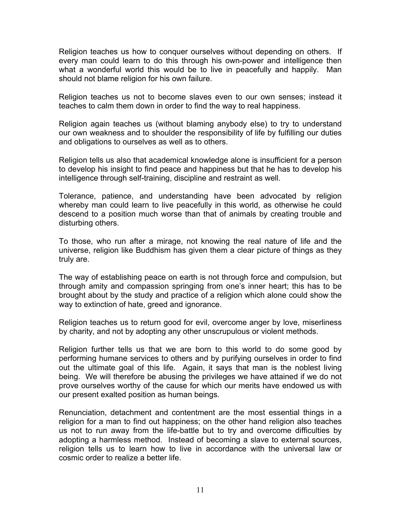Religion teaches us how to conquer ourselves without depending on others. If every man could learn to do this through his own-power and intelligence then what a wonderful world this would be to live in peacefully and happily. Man should not blame religion for his own failure.

Religion teaches us not to become slaves even to our own senses; instead it teaches to calm them down in order to find the way to real happiness.

Religion again teaches us (without blaming anybody else) to try to understand our own weakness and to shoulder the responsibility of life by fulfilling our duties and obligations to ourselves as well as to others.

Religion tells us also that academical knowledge alone is insufficient for a person to develop his insight to find peace and happiness but that he has to develop his intelligence through self-training, discipline and restraint as well.

Tolerance, patience, and understanding have been advocated by religion whereby man could learn to live peacefully in this world, as otherwise he could descend to a position much worse than that of animals by creating trouble and disturbing others.

To those, who run after a mirage, not knowing the real nature of life and the universe, religion like Buddhism has given them a clear picture of things as they truly are.

The way of establishing peace on earth is not through force and compulsion, but through amity and compassion springing from one's inner heart; this has to be brought about by the study and practice of a religion which alone could show the way to extinction of hate, greed and ignorance.

Religion teaches us to return good for evil, overcome anger by love, miserliness by charity, and not by adopting any other unscrupulous or violent methods.

Religion further tells us that we are born to this world to do some good by performing humane services to others and by purifying ourselves in order to find out the ultimate goal of this life. Again, it says that man is the noblest living being. We will therefore be abusing the privileges we have attained if we do not prove ourselves worthy of the cause for which our merits have endowed us with our present exalted position as human beings.

Renunciation, detachment and contentment are the most essential things in a religion for a man to find out happiness; on the other hand religion also teaches us not to run away from the life-battle but to try and overcome difficulties by adopting a harmless method. Instead of becoming a slave to external sources, religion tells us to learn how to live in accordance with the universal law or cosmic order to realize a better life.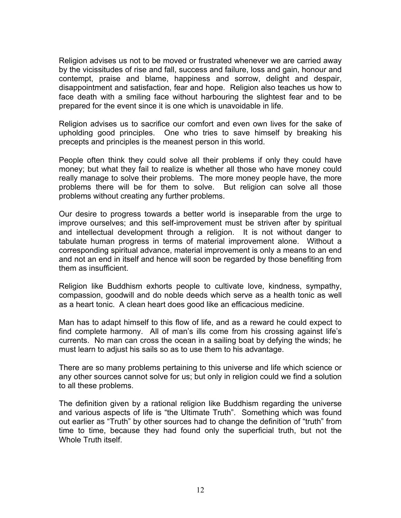Religion advises us not to be moved or frustrated whenever we are carried away by the vicissitudes of rise and fall, success and failure, loss and gain, honour and contempt, praise and blame, happiness and sorrow, delight and despair, disappointment and satisfaction, fear and hope. Religion also teaches us how to face death with a smiling face without harbouring the slightest fear and to be prepared for the event since it is one which is unavoidable in life.

Religion advises us to sacrifice our comfort and even own lives for the sake of upholding good principles. One who tries to save himself by breaking his precepts and principles is the meanest person in this world.

People often think they could solve all their problems if only they could have money; but what they fail to realize is whether all those who have money could really manage to solve their problems. The more money people have, the more problems there will be for them to solve. But religion can solve all those problems without creating any further problems.

Our desire to progress towards a better world is inseparable from the urge to improve ourselves; and this self-improvement must be striven after by spiritual and intellectual development through a religion. It is not without danger to tabulate human progress in terms of material improvement alone. Without a corresponding spiritual advance, material improvement is only a means to an end and not an end in itself and hence will soon be regarded by those benefiting from them as insufficient.

Religion like Buddhism exhorts people to cultivate love, kindness, sympathy, compassion, goodwill and do noble deeds which serve as a health tonic as well as a heart tonic. A clean heart does good like an efficacious medicine.

Man has to adapt himself to this flow of life, and as a reward he could expect to find complete harmony. All of man's ills come from his crossing against life's currents. No man can cross the ocean in a sailing boat by defying the winds; he must learn to adjust his sails so as to use them to his advantage.

There are so many problems pertaining to this universe and life which science or any other sources cannot solve for us; but only in religion could we find a solution to all these problems.

The definition given by a rational religion like Buddhism regarding the universe and various aspects of life is "the Ultimate Truth". Something which was found out earlier as "Truth" by other sources had to change the definition of "truth" from time to time, because they had found only the superficial truth, but not the Whole Truth itself.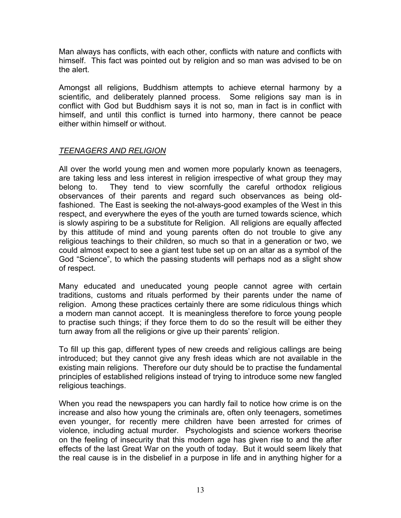Man always has conflicts, with each other, conflicts with nature and conflicts with himself. This fact was pointed out by religion and so man was advised to be on the alert.

Amongst all religions, Buddhism attempts to achieve eternal harmony by a scientific, and deliberately planned process. Some religions say man is in conflict with God but Buddhism says it is not so, man in fact is in conflict with himself, and until this conflict is turned into harmony, there cannot be peace either within himself or without.

### *TEENAGERS AND RELIGION*

All over the world young men and women more popularly known as teenagers, are taking less and less interest in religion irrespective of what group they may belong to. They tend to view scornfully the careful orthodox religious observances of their parents and regard such observances as being oldfashioned. The East is seeking the not-always-good examples of the West in this respect, and everywhere the eyes of the youth are turned towards science, which is slowly aspiring to be a substitute for Religion. All religions are equally affected by this attitude of mind and young parents often do not trouble to give any religious teachings to their children, so much so that in a generation or two, we could almost expect to see a giant test tube set up on an altar as a symbol of the God "Science", to which the passing students will perhaps nod as a slight show of respect.

Many educated and uneducated young people cannot agree with certain traditions, customs and rituals performed by their parents under the name of religion. Among these practices certainly there are some ridiculous things which a modern man cannot accept. It is meaningless therefore to force young people to practise such things; if they force them to do so the result will be either they turn away from all the religions or give up their parents' religion.

To fill up this gap, different types of new creeds and religious callings are being introduced; but they cannot give any fresh ideas which are not available in the existing main religions. Therefore our duty should be to practise the fundamental principles of established religions instead of trying to introduce some new fangled religious teachings.

When you read the newspapers you can hardly fail to notice how crime is on the increase and also how young the criminals are, often only teenagers, sometimes even younger, for recently mere children have been arrested for crimes of violence, including actual murder. Psychologists and science workers theorise on the feeling of insecurity that this modern age has given rise to and the after effects of the last Great War on the youth of today. But it would seem likely that the real cause is in the disbelief in a purpose in life and in anything higher for a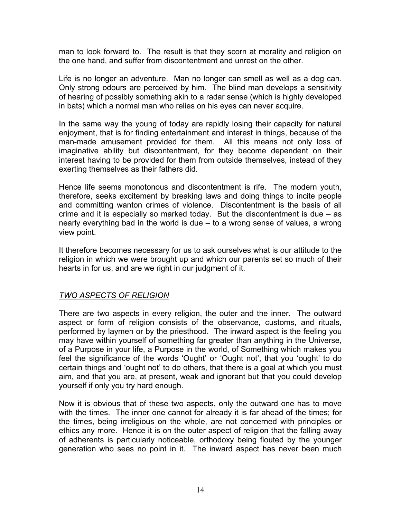man to look forward to. The result is that they scorn at morality and religion on the one hand, and suffer from discontentment and unrest on the other.

Life is no longer an adventure. Man no longer can smell as well as a dog can. Only strong odours are perceived by him. The blind man develops a sensitivity of hearing of possibly something akin to a radar sense (which is highly developed in bats) which a normal man who relies on his eyes can never acquire.

In the same way the young of today are rapidly losing their capacity for natural enjoyment, that is for finding entertainment and interest in things, because of the man-made amusement provided for them. All this means not only loss of imaginative ability but discontentment, for they become dependent on their interest having to be provided for them from outside themselves, instead of they exerting themselves as their fathers did.

Hence life seems monotonous and discontentment is rife. The modern youth, therefore, seeks excitement by breaking laws and doing things to incite people and committing wanton crimes of violence. Discontentment is the basis of all crime and it is especially so marked today. But the discontentment is due – as nearly everything bad in the world is due – to a wrong sense of values, a wrong view point.

It therefore becomes necessary for us to ask ourselves what is our attitude to the religion in which we were brought up and which our parents set so much of their hearts in for us, and are we right in our judgment of it.

# *TWO ASPECTS OF RELIGION*

There are two aspects in every religion, the outer and the inner. The outward aspect or form of religion consists of the observance, customs, and rituals, performed by laymen or by the priesthood. The inward aspect is the feeling you may have within yourself of something far greater than anything in the Universe, of a Purpose in your life, a Purpose in the world, of Something which makes you feel the significance of the words 'Ought' or 'Ought not', that you 'ought' to do certain things and 'ought not' to do others, that there is a goal at which you must aim, and that you are, at present, weak and ignorant but that you could develop yourself if only you try hard enough.

Now it is obvious that of these two aspects, only the outward one has to move with the times. The inner one cannot for already it is far ahead of the times; for the times, being irreligious on the whole, are not concerned with principles or ethics any more. Hence it is on the outer aspect of religion that the falling away of adherents is particularly noticeable, orthodoxy being flouted by the younger generation who sees no point in it. The inward aspect has never been much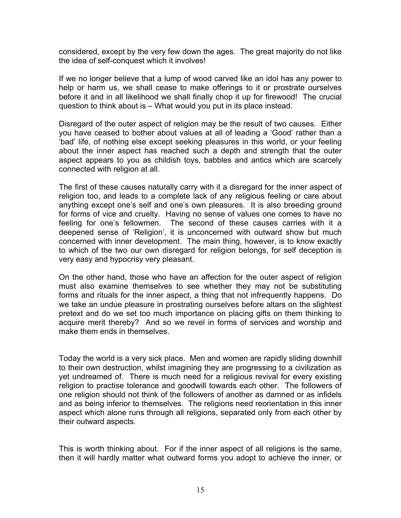considered, except by the very few down the ages. The great majority do not like the idea of self-conquest which it involves!

If we no longer believe that a lump of wood carved like an idol has any power to help or harm us, we shall cease to make offerings to it or prostrate ourselves before it and in all likelihood we shall finally chop it up for firewood! The crucial question to think about is – What would you put in its place instead.

Disregard of the outer aspect of religion may be the result of two causes. Either you have ceased to bother about values at all of leading a 'Good' rather than a 'bad' life, of nothing else except seeking pleasures in this world, or your feeling about the inner aspect has reached such a depth and strength that the outer aspect appears to you as childish toys, babbles and antics which are scarcely connected with religion at all.

The first of these causes naturally carry with it a disregard for the inner aspect of religion too, and leads to a complete lack of any religious feeling or care about anything except one's self and one's own pleasures. It is also breeding ground for forms of vice and cruelty. Having no sense of values one comes to have no feeling for one's fellowmen. The second of these causes carries with it a deepened sense of 'Religion', it is unconcerned with outward show but much concerned with inner development. The main thing, however, is to know exactly to which of the two our own disregard for religion belongs, for self deception is very easy and hypocrisy very pleasant.

On the other hand, those who have an affection for the outer aspect of religion must also examine themselves to see whether they may not be substituting forms and rituals for the inner aspect, a thing that not infrequently happens. Do we take an undue pleasure in prostrating ourselves before altars on the slightest pretext and do we set too much importance on placing gifts on them thinking to acquire merit thereby? And so we revel in forms of services and worship and make them ends in themselves.

Today the world is a very sick place. Men and women are rapidly sliding downhill to their own destruction, whilst imagining they are progressing to a civilization as yet undreamed of. There is much need for a religious revival for every existing religion to practise tolerance and goodwill towards each other. The followers of one religion should not think of the followers of another as damned or as infidels and as being inferior to themselves. The religions need reorientation in this inner aspect which alone runs through all religions, separated only from each other by their outward aspects.

This is worth thinking about. For if the inner aspect of all religions is the same, then it will hardly matter what outward forms you adopt to achieve the inner, or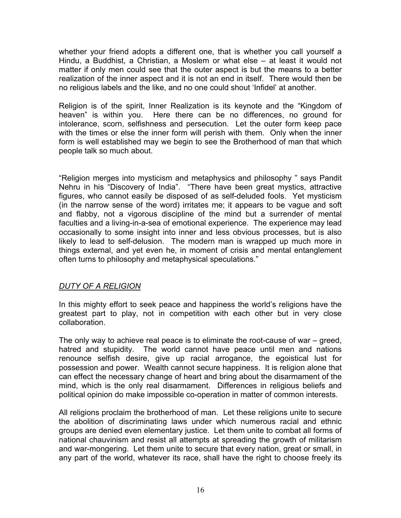whether your friend adopts a different one, that is whether you call yourself a Hindu, a Buddhist, a Christian, a Moslem or what else – at least it would not matter if only men could see that the outer aspect is but the means to a better realization of the inner aspect and it is not an end in itself. There would then be no religious labels and the like, and no one could shout 'Infidel' at another.

Religion is of the spirit, Inner Realization is its keynote and the "Kingdom of heaven" is within you. Here there can be no differences, no ground for intolerance, scorn, selfishness and persecution. Let the outer form keep pace with the times or else the inner form will perish with them. Only when the inner form is well established may we begin to see the Brotherhood of man that which people talk so much about.

"Religion merges into mysticism and metaphysics and philosophy " says Pandit Nehru in his "Discovery of India". "There have been great mystics, attractive figures, who cannot easily be disposed of as self-deluded fools. Yet mysticism (in the narrow sense of the word) irritates me; it appears to be vague and soft and flabby, not a vigorous discipline of the mind but a surrender of mental faculties and a living-in-a-sea of emotional experience. The experience may lead occasionally to some insight into inner and less obvious processes, but is also likely to lead to self-delusion. The modern man is wrapped up much more in things external, and yet even he, in moment of crisis and mental entanglement often turns to philosophy and metaphysical speculations."

#### *DUTY OF A RELIGION*

In this mighty effort to seek peace and happiness the world's religions have the greatest part to play, not in competition with each other but in very close collaboration.

The only way to achieve real peace is to eliminate the root-cause of war – greed, hatred and stupidity. The world cannot have peace until men and nations renounce selfish desire, give up racial arrogance, the egoistical lust for possession and power. Wealth cannot secure happiness. It is religion alone that can effect the necessary change of heart and bring about the disarmament of the mind, which is the only real disarmament. Differences in religious beliefs and political opinion do make impossible co-operation in matter of common interests.

All religions proclaim the brotherhood of man. Let these religions unite to secure the abolition of discriminating laws under which numerous racial and ethnic groups are denied even elementary justice. Let them unite to combat all forms of national chauvinism and resist all attempts at spreading the growth of militarism and war-mongering. Let them unite to secure that every nation, great or small, in any part of the world, whatever its race, shall have the right to choose freely its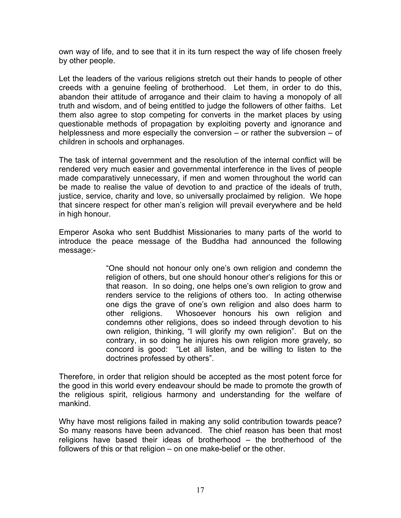own way of life, and to see that it in its turn respect the way of life chosen freely by other people.

Let the leaders of the various religions stretch out their hands to people of other creeds with a genuine feeling of brotherhood. Let them, in order to do this, abandon their attitude of arrogance and their claim to having a monopoly of all truth and wisdom, and of being entitled to judge the followers of other faiths. Let them also agree to stop competing for converts in the market places by using questionable methods of propagation by exploiting poverty and ignorance and helplessness and more especially the conversion – or rather the subversion – of children in schools and orphanages.

The task of internal government and the resolution of the internal conflict will be rendered very much easier and governmental interference in the lives of people made comparatively unnecessary, if men and women throughout the world can be made to realise the value of devotion to and practice of the ideals of truth, justice, service, charity and love, so universally proclaimed by religion. We hope that sincere respect for other man's religion will prevail everywhere and be held in high honour.

Emperor Asoka who sent Buddhist Missionaries to many parts of the world to introduce the peace message of the Buddha had announced the following message:-

> "One should not honour only one's own religion and condemn the religion of others, but one should honour other's religions for this or that reason. In so doing, one helps one's own religion to grow and renders service to the religions of others too. In acting otherwise one digs the grave of one's own religion and also does harm to other religions. Whosoever honours his own religion and condemns other religions, does so indeed through devotion to his own religion, thinking, "l will glorify my own religion". But on the contrary, in so doing he injures his own religion more gravely, so concord is good: "Let all listen, and be willing to listen to the doctrines professed by others".

Therefore, in order that religion should be accepted as the most potent force for the good in this world every endeavour should be made to promote the growth of the religious spirit, religious harmony and understanding for the welfare of mankind.

Why have most religions failed in making any solid contribution towards peace? So many reasons have been advanced. The chief reason has been that most religions have based their ideas of brotherhood – the brotherhood of the followers of this or that religion – on one make-belief or the other.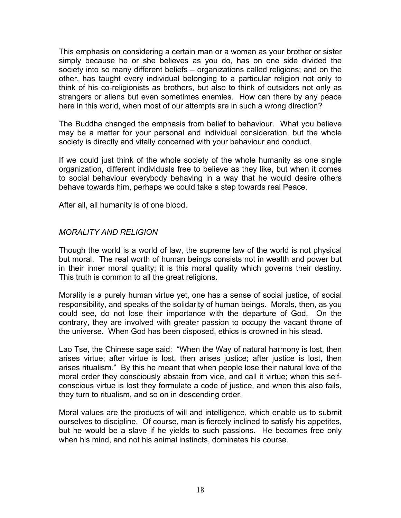This emphasis on considering a certain man or a woman as your brother or sister simply because he or she believes as you do, has on one side divided the society into so many different beliefs – organizations called religions; and on the other, has taught every individual belonging to a particular religion not only to think of his co-religionists as brothers, but also to think of outsiders not only as strangers or aliens but even sometimes enemies. How can there by any peace here in this world, when most of our attempts are in such a wrong direction?

The Buddha changed the emphasis from belief to behaviour. What you believe may be a matter for your personal and individual consideration, but the whole society is directly and vitally concerned with your behaviour and conduct.

If we could just think of the whole society of the whole humanity as one single organization, different individuals free to believe as they like, but when it comes to social behaviour everybody behaving in a way that he would desire others behave towards him, perhaps we could take a step towards real Peace.

After all, all humanity is of one blood.

#### *MORALITY AND RELIGION*

Though the world is a world of law, the supreme law of the world is not physical but moral. The real worth of human beings consists not in wealth and power but in their inner moral quality; it is this moral quality which governs their destiny. This truth is common to all the great religions.

Morality is a purely human virtue yet, one has a sense of social justice, of social responsibility, and speaks of the solidarity of human beings. Morals, then, as you could see, do not lose their importance with the departure of God. On the contrary, they are involved with greater passion to occupy the vacant throne of the universe. When God has been disposed, ethics is crowned in his stead.

Lao Tse, the Chinese sage said: "When the Way of natural harmony is lost, then arises virtue; after virtue is lost, then arises justice; after justice is lost, then arises ritualism." By this he meant that when people lose their natural love of the moral order they consciously abstain from vice, and call it virtue; when this selfconscious virtue is lost they formulate a code of justice, and when this also fails, they turn to ritualism, and so on in descending order.

Moral values are the products of will and intelligence, which enable us to submit ourselves to discipline. Of course, man is fiercely inclined to satisfy his appetites, but he would be a slave if he yields to such passions. He becomes free only when his mind, and not his animal instincts, dominates his course.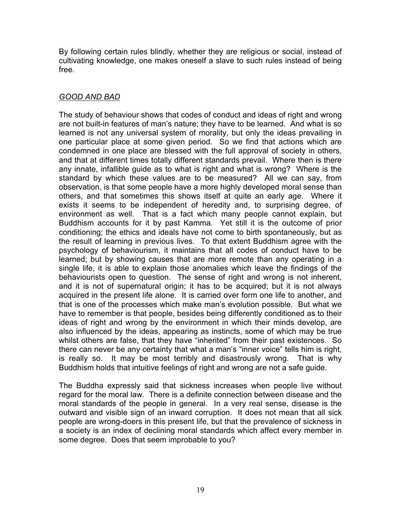By following certain rules blindly, whether they are religious or social, instead of cultivating knowledge, one makes oneself a slave to such rules instead of being free.

### *GOOD AND BAD*

The study of behaviour shows that codes of conduct and ideas of right and wrong are not built-in features of man's nature; they have to be learned. And what is so learned is not any universal system of morality, but only the ideas prevailing in one particular place at some given period. So we find that actions which are condemned in one place are blessed with the full approval of society in others, and that at different times totally different standards prevail. Where then is there any innate, infallible guide as to what is right and what is wrong? Where is the standard by which these values are to be measured? All we can say, from observation, is that some people have a more highly developed moral sense than others, and that sometimes this shows itself at quite an early age. Where it exists it seems to be independent of heredity and, to surprising degree, of environment as well. That is a fact which many people cannot explain, but Buddhism accounts for it by past Kamma. Yet still it is the outcome of prior conditioning; the ethics and ideals have not come to birth spontaneously, but as the result of learning in previous lives. To that extent Buddhism agree with the psychology of behaviourism, it maintains that all codes of conduct have to be learned; but by showing causes that are more remote than any operating in a single life, it is able to explain those anomalies which leave the findings of the behaviourists open to question. The sense of right and wrong is not inherent, and it is not of supernatural origin; it has to be acquired; but it is not always acquired in the present life alone. It is carried over form one life to another, and that is one of the processes which make man's evolution possible. But what we have to remember is that people, besides being differently conditioned as to their ideas of right and wrong by the environment in which their minds develop, are also influenced by the ideas, appearing as instincts, some of which may be true whilst others are false, that they have "inherited" from their past existences. So there can never be any certainty that what a man's "inner voice" tells him is right, is really so. It may be most terribly and disastrously wrong. That is why Buddhism holds that intuitive feelings of right and wrong are not a safe guide.

The Buddha expressly said that sickness increases when people live without regard for the moral law. There is a definite connection between disease and the moral standards of the people in general. In a very real sense, disease is the outward and visible sign of an inward corruption. It does not mean that all sick people are wrong-doers in this present life, but that the prevalence of sickness in a society is an index of declining moral standards which affect every member in some degree. Does that seem improbable to you?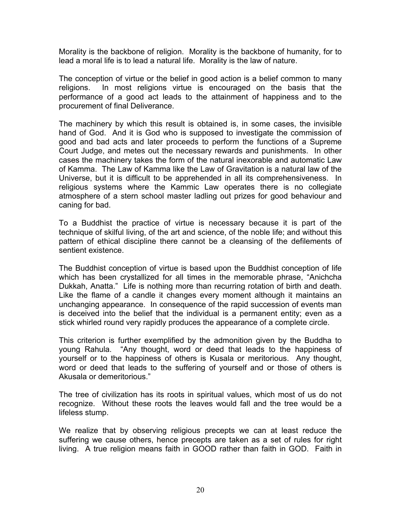Morality is the backbone of religion. Morality is the backbone of humanity, for to lead a moral life is to lead a natural life. Morality is the law of nature.

The conception of virtue or the belief in good action is a belief common to many religions. In most religions virtue is encouraged on the basis that the performance of a good act leads to the attainment of happiness and to the procurement of final Deliverance.

The machinery by which this result is obtained is, in some cases, the invisible hand of God. And it is God who is supposed to investigate the commission of good and bad acts and later proceeds to perform the functions of a Supreme Court Judge, and metes out the necessary rewards and punishments. In other cases the machinery takes the form of the natural inexorable and automatic Law of Kamma. The Law of Kamma like the Law of Gravitation is a natural law of the Universe, but it is difficult to be apprehended in all its comprehensiveness. In religious systems where the Kammic Law operates there is no collegiate atmosphere of a stern school master ladling out prizes for good behaviour and caning for bad.

To a Buddhist the practice of virtue is necessary because it is part of the technique of skilful living, of the art and science, of the noble life; and without this pattern of ethical discipline there cannot be a cleansing of the defilements of sentient existence.

The Buddhist conception of virtue is based upon the Buddhist conception of life which has been crystallized for all times in the memorable phrase, "Anichcha Dukkah, Anatta." Life is nothing more than recurring rotation of birth and death. Like the flame of a candle it changes every moment although it maintains an unchanging appearance. In consequence of the rapid succession of events man is deceived into the belief that the individual is a permanent entity; even as a stick whirled round very rapidly produces the appearance of a complete circle.

This criterion is further exemplified by the admonition given by the Buddha to young Rahula. "Any thought, word or deed that leads to the happiness of yourself or to the happiness of others is Kusala or meritorious. Any thought, word or deed that leads to the suffering of yourself and or those of others is Akusala or demeritorious."

The tree of civilization has its roots in spiritual values, which most of us do not recognize. Without these roots the leaves would fall and the tree would be a lifeless stump.

We realize that by observing religious precepts we can at least reduce the suffering we cause others, hence precepts are taken as a set of rules for right living. A true religion means faith in GOOD rather than faith in GOD. Faith in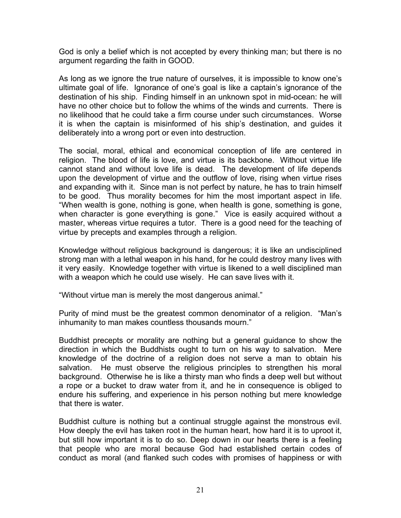God is only a belief which is not accepted by every thinking man; but there is no argument regarding the faith in GOOD.

As long as we ignore the true nature of ourselves, it is impossible to know one's ultimate goal of life. Ignorance of one's goal is like a captain's ignorance of the destination of his ship. Finding himself in an unknown spot in mid-ocean: he will have no other choice but to follow the whims of the winds and currents. There is no likelihood that he could take a firm course under such circumstances. Worse it is when the captain is misinformed of his ship's destination, and guides it deliberately into a wrong port or even into destruction.

The social, moral, ethical and economical conception of life are centered in religion. The blood of life is love, and virtue is its backbone. Without virtue life cannot stand and without love life is dead. The development of life depends upon the development of virtue and the outflow of love, rising when virtue rises and expanding with it. Since man is not perfect by nature, he has to train himself to be good. Thus morality becomes for him the most important aspect in life. "When wealth is gone, nothing is gone, when health is gone, something is gone, when character is gone everything is gone." Vice is easily acquired without a master, whereas virtue requires a tutor. There is a good need for the teaching of virtue by precepts and examples through a religion.

Knowledge without religious background is dangerous; it is like an undisciplined strong man with a lethal weapon in his hand, for he could destroy many lives with it very easily. Knowledge together with virtue is likened to a well disciplined man with a weapon which he could use wisely. He can save lives with it.

"Without virtue man is merely the most dangerous animal."

Purity of mind must be the greatest common denominator of a religion. "Man's inhumanity to man makes countless thousands mourn."

Buddhist precepts or morality are nothing but a general guidance to show the direction in which the Buddhists ought to turn on his way to salvation. Mere knowledge of the doctrine of a religion does not serve a man to obtain his salvation. He must observe the religious principles to strengthen his moral background. Otherwise he is like a thirsty man who finds a deep well but without a rope or a bucket to draw water from it, and he in consequence is obliged to endure his suffering, and experience in his person nothing but mere knowledge that there is water.

Buddhist culture is nothing but a continual struggle against the monstrous evil. How deeply the evil has taken root in the human heart, how hard it is to uproot it, but still how important it is to do so. Deep down in our hearts there is a feeling that people who are moral because God had established certain codes of conduct as moral (and flanked such codes with promises of happiness or with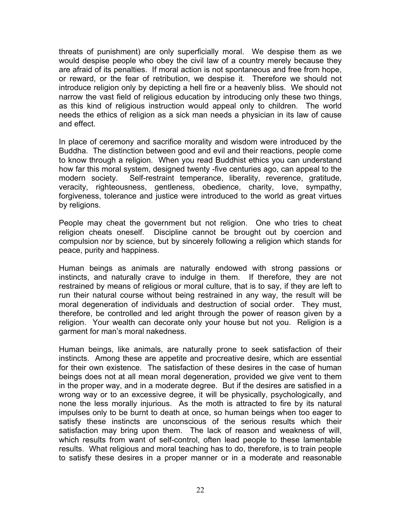threats of punishment) are only superficially moral. We despise them as we would despise people who obey the civil law of a country merely because they are afraid of its penalties. If moral action is not spontaneous and free from hope, or reward, or the fear of retribution, we despise it. Therefore we should not introduce religion only by depicting a hell fire or a heavenly bliss. We should not narrow the vast field of religious education by introducing only these two things, as this kind of religious instruction would appeal only to children. The world needs the ethics of religion as a sick man needs a physician in its law of cause and effect.

In place of ceremony and sacrifice morality and wisdom were introduced by the Buddha. The distinction between good and evil and their reactions, people come to know through a religion. When you read Buddhist ethics you can understand how far this moral system, designed twenty -five centuries ago, can appeal to the modern society. Self-restraint temperance, liberality, reverence, gratitude, veracity, righteousness, gentleness, obedience, charity, love, sympathy, forgiveness, tolerance and justice were introduced to the world as great virtues by religions.

People may cheat the government but not religion. One who tries to cheat religion cheats oneself. Discipline cannot be brought out by coercion and compulsion nor by science, but by sincerely following a religion which stands for peace, purity and happiness.

Human beings as animals are naturally endowed with strong passions or instincts, and naturally crave to indulge in them. If therefore, they are not restrained by means of religious or moral culture, that is to say, if they are left to run their natural course without being restrained in any way, the result will be moral degeneration of individuals and destruction of social order. They must, therefore, be controlled and led aright through the power of reason given by a religion. Your wealth can decorate only your house but not you. Religion is a garment for man's moral nakedness.

Human beings, like animals, are naturally prone to seek satisfaction of their instincts. Among these are appetite and procreative desire, which are essential for their own existence. The satisfaction of these desires in the case of human beings does not at all mean moral degeneration, provided we give vent to them in the proper way, and in a moderate degree. But if the desires are satisfied in a wrong way or to an excessive degree, it will be physically, psychologically, and none the less morally injurious. As the moth is attracted to fire by its natural impulses only to be burnt to death at once, so human beings when too eager to satisfy these instincts are unconscious of the serious results which their satisfaction may bring upon them. The lack of reason and weakness of will, which results from want of self-control, often lead people to these lamentable results. What religious and moral teaching has to do, therefore, is to train people to satisfy these desires in a proper manner or in a moderate and reasonable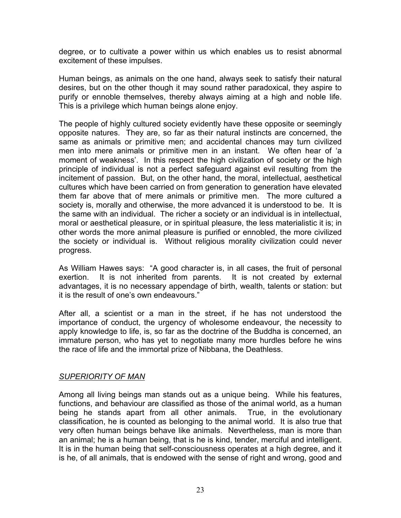degree, or to cultivate a power within us which enables us to resist abnormal excitement of these impulses.

Human beings, as animals on the one hand, always seek to satisfy their natural desires, but on the other though it may sound rather paradoxical, they aspire to purify or ennoble themselves, thereby always aiming at a high and noble life. This is a privilege which human beings alone enjoy.

The people of highly cultured society evidently have these opposite or seemingly opposite natures. They are, so far as their natural instincts are concerned, the same as animals or primitive men; and accidental chances may turn civilized men into mere animals or primitive men in an instant. We often hear of 'a moment of weakness'. In this respect the high civilization of society or the high principle of individual is not a perfect safeguard against evil resulting from the incitement of passion. But, on the other hand, the moral, intellectual, aesthetical cultures which have been carried on from generation to generation have elevated them far above that of mere animals or primitive men. The more cultured a society is, morally and otherwise, the more advanced it is understood to be. It is the same with an individual. The richer a society or an individual is in intellectual, moral or aesthetical pleasure, or in spiritual pleasure, the less materialistic it is; in other words the more animal pleasure is purified or ennobled, the more civilized the society or individual is. Without religious morality civilization could never progress.

As William Hawes says: "A good character is, in all cases, the fruit of personal exertion. It is not inherited from parents. It is not created by external advantages, it is no necessary appendage of birth, wealth, talents or station: but it is the result of one's own endeavours."

After all, a scientist or a man in the street, if he has not understood the importance of conduct, the urgency of wholesome endeavour, the necessity to apply knowledge to life, is, so far as the doctrine of the Buddha is concerned, an immature person, who has yet to negotiate many more hurdles before he wins the race of life and the immortal prize of Nibbana, the Deathless.

#### *SUPERIORITY OF MAN*

Among all living beings man stands out as a unique being. While his features, functions, and behaviour are classified as those of the animal world, as a human being he stands apart from all other animals. True, in the evolutionary classification, he is counted as belonging to the animal world. It is also true that very often human beings behave like animals. Nevertheless, man is more than an animal; he is a human being, that is he is kind, tender, merciful and intelligent. It is in the human being that self-consciousness operates at a high degree, and it is he, of all animals, that is endowed with the sense of right and wrong, good and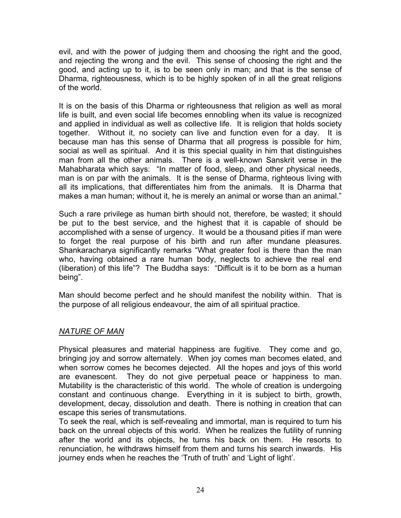evil, and with the power of judging them and choosing the right and the good, and rejecting the wrong and the evil. This sense of choosing the right and the good, and acting up to it, is to be seen only in man; and that is the sense of Dharma, righteousness, which is to be highly spoken of in all the great religions of the world.

It is on the basis of this Dharma or righteousness that religion as well as moral life is built, and even social life becomes ennobling when its value is recognized and applied in individual as well as collective life. It is religion that holds society together. Without it, no society can live and function even for a day. It is because man has this sense of Dharma that all progress is possible for him, social as well as spiritual. And it is this special quality in him that distinguishes man from all the other animals. There is a well-known Sanskrit verse in the Mahabharata which says: "In matter of food, sleep, and other physical needs, man is on par with the animals. It is the sense of Dharma, righteous living with all its implications, that differentiates him from the animals. It is Dharma that makes a man human; without it, he is merely an animal or worse than an animal."

Such a rare privilege as human birth should not, therefore, be wasted; it should be put to the best service, and the highest that it is capable of should be accomplished with a sense of urgency. It would be a thousand pities if man were to forget the real purpose of his birth and run after mundane pleasures. Shankaracharya significantly remarks "What greater fool is there than the man who, having obtained a rare human body, neglects to achieve the real end (liberation) of this life"? The Buddha says: "Difficult is it to be born as a human being".

Man should become perfect and he should manifest the nobility within. That is the purpose of all religious endeavour, the aim of all spiritual practice.

#### *NATURE OF MAN*

Physical pleasures and material happiness are fugitive. They come and go, bringing joy and sorrow alternately. When joy comes man becomes elated, and when sorrow comes he becomes dejected. All the hopes and joys of this world are evanescent. They do not give perpetual peace or happiness to man. Mutability is the characteristic of this world. The whole of creation is undergoing constant and continuous change. Everything in it is subject to birth, growth, development, decay, dissolution and death. There is nothing in creation that can escape this series of transmutations.

To seek the real, which is self-revealing and immortal, man is required to turn his back on the unreal objects of this world. When he realizes the futility of running after the world and its objects, he turns his back on them. He resorts to renunciation, he withdraws himself from them and turns his search inwards. His journey ends when he reaches the 'Truth of truth' and 'Light of light'.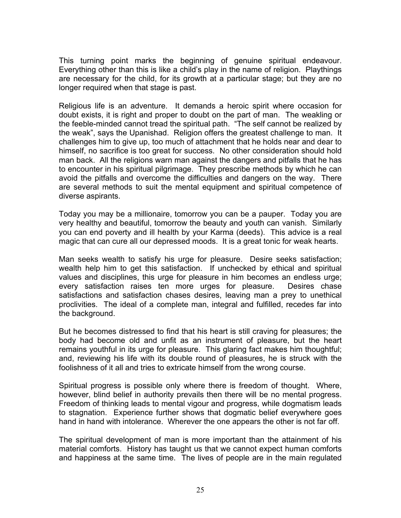This turning point marks the beginning of genuine spiritual endeavour. Everything other than this is like a child's play in the name of religion. Playthings are necessary for the child, for its growth at a particular stage; but they are no longer required when that stage is past.

Religious life is an adventure. It demands a heroic spirit where occasion for doubt exists, it is right and proper to doubt on the part of man. The weakling or the feeble-minded cannot tread the spiritual path. "The self cannot be realized by the weak", says the Upanishad. Religion offers the greatest challenge to man. It challenges him to give up, too much of attachment that he holds near and dear to himself, no sacrifice is too great for success. No other consideration should hold man back. All the religions warn man against the dangers and pitfalls that he has to encounter in his spiritual pilgrimage. They prescribe methods by which he can avoid the pitfalls and overcome the difficulties and dangers on the way. There are several methods to suit the mental equipment and spiritual competence of diverse aspirants.

Today you may be a millionaire, tomorrow you can be a pauper. Today you are very healthy and beautiful, tomorrow the beauty and youth can vanish. Similarly you can end poverty and ill health by your Karma (deeds). This advice is a real magic that can cure all our depressed moods. It is a great tonic for weak hearts.

Man seeks wealth to satisfy his urge for pleasure. Desire seeks satisfaction; wealth help him to get this satisfaction. If unchecked by ethical and spiritual values and disciplines, this urge for pleasure in him becomes an endless urge; every satisfaction raises ten more urges for pleasure. Desires chase satisfactions and satisfaction chases desires, leaving man a prey to unethical proclivities. The ideal of a complete man, integral and fulfilled, recedes far into the background.

But he becomes distressed to find that his heart is still craving for pleasures; the body had become old and unfit as an instrument of pleasure, but the heart remains youthful in its urge for pleasure. This glaring fact makes him thoughtful; and, reviewing his life with its double round of pleasures, he is struck with the foolishness of it all and tries to extricate himself from the wrong course.

Spiritual progress is possible only where there is freedom of thought. Where, however, blind belief in authority prevails then there will be no mental progress. Freedom of thinking leads to mental vigour and progress, while dogmatism leads to stagnation. Experience further shows that dogmatic belief everywhere goes hand in hand with intolerance. Wherever the one appears the other is not far off.

The spiritual development of man is more important than the attainment of his material comforts. History has taught us that we cannot expect human comforts and happiness at the same time. The lives of people are in the main regulated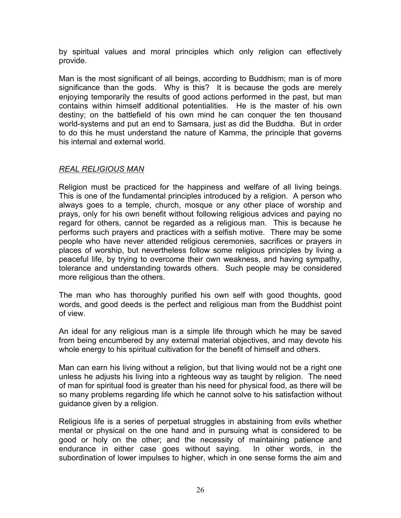by spiritual values and moral principles which only religion can effectively provide.

Man is the most significant of all beings, according to Buddhism; man is of more significance than the gods. Why is this? It is because the gods are merely enjoying temporarily the results of good actions performed in the past, but man contains within himself additional potentialities. He is the master of his own destiny; on the battlefield of his own mind he can conquer the ten thousand world-systems and put an end to Samsara, just as did the Buddha. But in order to do this he must understand the nature of Kamma, the principle that governs his internal and external world.

# *REAL RELIGIOUS MAN*

Religion must be practiced for the happiness and welfare of all living beings. This is one of the fundamental principles introduced by a religion. A person who always goes to a temple, church, mosque or any other place of worship and prays, only for his own benefit without following religious advices and paying no regard for others, cannot be regarded as a religious man. This is because he performs such prayers and practices with a selfish motive. There may be some people who have never attended religious ceremonies, sacrifices or prayers in places of worship, but nevertheless follow some religious principles by living a peaceful life, by trying to overcome their own weakness, and having sympathy, tolerance and understanding towards others. Such people may be considered more religious than the others.

The man who has thoroughly purified his own self with good thoughts, good words, and good deeds is the perfect and religious man from the Buddhist point of view.

An ideal for any religious man is a simple life through which he may be saved from being encumbered by any external material objectives, and may devote his whole energy to his spiritual cultivation for the benefit of himself and others.

Man can earn his living without a religion, but that living would not be a right one unless he adjusts his living into a righteous way as taught by religion. The need of man for spiritual food is greater than his need for physical food, as there will be so many problems regarding life which he cannot solve to his satisfaction without guidance given by a religion.

Religious life is a series of perpetual struggles in abstaining from evils whether mental or physical on the one hand and in pursuing what is considered to be good or holy on the other; and the necessity of maintaining patience and endurance in either case goes without saying. In other words, in the subordination of lower impulses to higher, which in one sense forms the aim and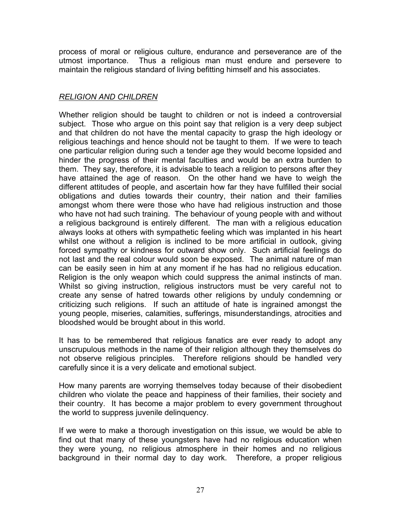process of moral or religious culture, endurance and perseverance are of the utmost importance. Thus a religious man must endure and persevere to maintain the religious standard of living befitting himself and his associates.

## *RELIGION AND CHILDREN*

Whether religion should be taught to children or not is indeed a controversial subject. Those who argue on this point say that religion is a very deep subject and that children do not have the mental capacity to grasp the high ideology or religious teachings and hence should not be taught to them. If we were to teach one particular religion during such a tender age they would become lopsided and hinder the progress of their mental faculties and would be an extra burden to them. They say, therefore, it is advisable to teach a religion to persons after they have attained the age of reason. On the other hand we have to weigh the different attitudes of people, and ascertain how far they have fulfilled their social obligations and duties towards their country, their nation and their families amongst whom there were those who have had religious instruction and those who have not had such training. The behaviour of young people with and without a religious background is entirely different. The man with a religious education always looks at others with sympathetic feeling which was implanted in his heart whilst one without a religion is inclined to be more artificial in outlook, giving forced sympathy or kindness for outward show only. Such artificial feelings do not last and the real colour would soon be exposed. The animal nature of man can be easily seen in him at any moment if he has had no religious education. Religion is the only weapon which could suppress the animal instincts of man. Whilst so giving instruction, religious instructors must be very careful not to create any sense of hatred towards other religions by unduly condemning or criticizing such religions. If such an attitude of hate is ingrained amongst the young people, miseries, calamities, sufferings, misunderstandings, atrocities and bloodshed would be brought about in this world.

It has to be remembered that religious fanatics are ever ready to adopt any unscrupulous methods in the name of their religion although they themselves do not observe religious principles. Therefore religions should be handled very carefully since it is a very delicate and emotional subject.

How many parents are worrying themselves today because of their disobedient children who violate the peace and happiness of their families, their society and their country. It has become a major problem to every government throughout the world to suppress juvenile delinquency.

If we were to make a thorough investigation on this issue, we would be able to find out that many of these youngsters have had no religious education when they were young, no religious atmosphere in their homes and no religious background in their normal day to day work. Therefore, a proper religious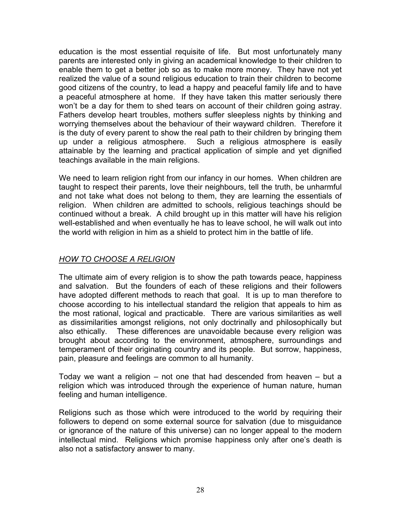education is the most essential requisite of life. But most unfortunately many parents are interested only in giving an academical knowledge to their children to enable them to get a better job so as to make more money. They have not yet realized the value of a sound religious education to train their children to become good citizens of the country, to lead a happy and peaceful family life and to have a peaceful atmosphere at home. If they have taken this matter seriously there won't be a day for them to shed tears on account of their children going astray. Fathers develop heart troubles, mothers suffer sleepless nights by thinking and worrying themselves about the behaviour of their wayward children. Therefore it is the duty of every parent to show the real path to their children by bringing them up under a religious atmosphere. Such a religious atmosphere is easily attainable by the learning and practical application of simple and yet dignified teachings available in the main religions.

We need to learn religion right from our infancy in our homes. When children are taught to respect their parents, love their neighbours, tell the truth, be unharmful and not take what does not belong to them, they are learning the essentials of religion. When children are admitted to schools, religious teachings should be continued without a break. A child brought up in this matter will have his religion well-established and when eventually he has to leave school, he will walk out into the world with religion in him as a shield to protect him in the battle of life.

### *HOW TO CHOOSE A RELIGION*

The ultimate aim of every religion is to show the path towards peace, happiness and salvation. But the founders of each of these religions and their followers have adopted different methods to reach that goal. It is up to man therefore to choose according to his intellectual standard the religion that appeals to him as the most rational, logical and practicable. There are various similarities as well as dissimilarities amongst religions, not only doctrinally and philosophically but also ethically. These differences are unavoidable because every religion was brought about according to the environment, atmosphere, surroundings and temperament of their originating country and its people. But sorrow, happiness, pain, pleasure and feelings are common to all humanity.

Today we want a religion – not one that had descended from heaven – but a religion which was introduced through the experience of human nature, human feeling and human intelligence.

Religions such as those which were introduced to the world by requiring their followers to depend on some external source for salvation (due to misguidance or ignorance of the nature of this universe) can no longer appeal to the modern intellectual mind. Religions which promise happiness only after one's death is also not a satisfactory answer to many.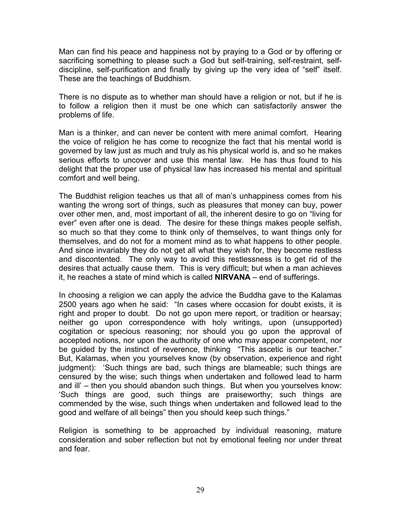Man can find his peace and happiness not by praying to a God or by offering or sacrificing something to please such a God but self-training, self-restraint, selfdiscipline, self-purification and finally by giving up the very idea of "self" itself. These are the teachings of Buddhism.

There is no dispute as to whether man should have a religion or not, but if he is to follow a religion then it must be one which can satisfactorily answer the problems of life.

Man is a thinker, and can never be content with mere animal comfort. Hearing the voice of religion he has come to recognize the fact that his mental world is governed by law just as much and truly as his physical world is, and so he makes serious efforts to uncover and use this mental law. He has thus found to his delight that the proper use of physical law has increased his mental and spiritual comfort and well being.

The Buddhist religion teaches us that all of man's unhappiness comes from his wanting the wrong sort of things, such as pleasures that money can buy, power over other men, and, most important of all, the inherent desire to go on "living for ever" even after one is dead. The desire for these things makes people selfish, so much so that they come to think only of themselves, to want things only for themselves, and do not for a moment mind as to what happens to other people. And since invariably they do not get all what they wish for, they become restless and discontented. The only way to avoid this restlessness is to get rid of the desires that actually cause them. This is very difficult; but when a man achieves it, he reaches a state of mind which is called **NIRVANA** – end of sufferings.

In choosing a religion we can apply the advice the Buddha gave to the Kalamas 2500 years ago when he said: "In cases where occasion for doubt exists, it is right and proper to doubt. Do not go upon mere report, or tradition or hearsay; neither go upon correspondence with holy writings, upon (unsupported) cogitation or specious reasoning; nor should you go upon the approval of accepted notions, nor upon the authority of one who may appear competent, nor be guided by the instinct of reverence, thinking "This ascetic is our teacher." But, Kalamas, when you yourselves know (by observation, experience and right judgment): 'Such things are bad, such things are blameable; such things are censured by the wise; such things when undertaken and followed lead to harm and ill' – then you should abandon such things. But when you yourselves know: 'Such things are good, such things are praiseworthy; such things are commended by the wise, such things when undertaken and followed lead to the good and welfare of all beings" then you should keep such things."

Religion is something to be approached by individual reasoning, mature consideration and sober reflection but not by emotional feeling nor under threat and fear.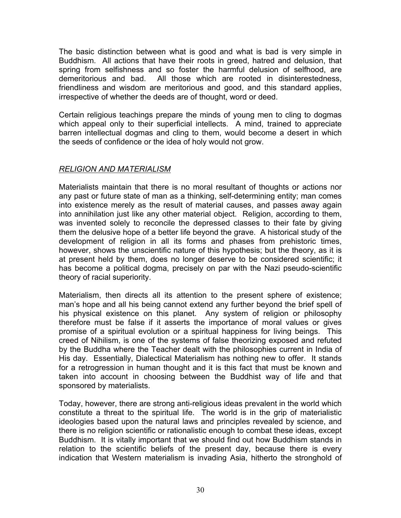The basic distinction between what is good and what is bad is very simple in Buddhism. All actions that have their roots in greed, hatred and delusion, that spring from selfishness and so foster the harmful delusion of selfhood, are demeritorious and bad. All those which are rooted in disinterestedness, friendliness and wisdom are meritorious and good, and this standard applies, irrespective of whether the deeds are of thought, word or deed.

Certain religious teachings prepare the minds of young men to cling to dogmas which appeal only to their superficial intellects. A mind, trained to appreciate barren intellectual dogmas and cling to them, would become a desert in which the seeds of confidence or the idea of holy would not grow.

### *RELIGION AND MATERIALISM*

Materialists maintain that there is no moral resultant of thoughts or actions nor any past or future state of man as a thinking, self-determining entity; man comes into existence merely as the result of material causes, and passes away again into annihilation just like any other material object. Religion, according to them, was invented solely to reconcile the depressed classes to their fate by giving them the delusive hope of a better life beyond the grave. A historical study of the development of religion in all its forms and phases from prehistoric times, however, shows the unscientific nature of this hypothesis; but the theory, as it is at present held by them, does no longer deserve to be considered scientific; it has become a political dogma, precisely on par with the Nazi pseudo-scientific theory of racial superiority.

Materialism, then directs all its attention to the present sphere of existence; man's hope and all his being cannot extend any further beyond the brief spell of his physical existence on this planet. Any system of religion or philosophy therefore must be false if it asserts the importance of moral values or gives promise of a spiritual evolution or a spiritual happiness for living beings. This creed of Nihilism, is one of the systems of false theorizing exposed and refuted by the Buddha where the Teacher dealt with the philosophies current in India of His day. Essentially, Dialectical Materialism has nothing new to offer. It stands for a retrogression in human thought and it is this fact that must be known and taken into account in choosing between the Buddhist way of life and that sponsored by materialists.

Today, however, there are strong anti-religious ideas prevalent in the world which constitute a threat to the spiritual life. The world is in the grip of materialistic ideologies based upon the natural laws and principles revealed by science, and there is no religion scientific or rationalistic enough to combat these ideas, except Buddhism. It is vitally important that we should find out how Buddhism stands in relation to the scientific beliefs of the present day, because there is every indication that Western materialism is invading Asia, hitherto the stronghold of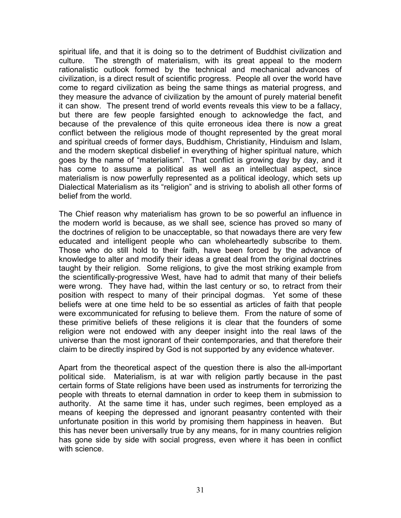spiritual life, and that it is doing so to the detriment of Buddhist civilization and culture. The strength of materialism, with its great appeal to the modern rationalistic outlook formed by the technical and mechanical advances of civilization, is a direct result of scientific progress. People all over the world have come to regard civilization as being the same things as material progress, and they measure the advance of civilization by the amount of purely material benefit it can show. The present trend of world events reveals this view to be a fallacy, but there are few people farsighted enough to acknowledge the fact, and because of the prevalence of this quite erroneous idea there is now a great conflict between the religious mode of thought represented by the great moral and spiritual creeds of former days, Buddhism, Christianity, Hinduism and Islam, and the modern skeptical disbelief in everything of higher spiritual nature, which goes by the name of "materialism". That conflict is growing day by day, and it has come to assume a political as well as an intellectual aspect, since materialism is now powerfully represented as a political ideology, which sets up Dialectical Materialism as its "religion" and is striving to abolish all other forms of belief from the world.

The Chief reason why materialism has grown to be so powerful an influence in the modern world is because, as we shall see, science has proved so many of the doctrines of religion to be unacceptable, so that nowadays there are very few educated and intelligent people who can wholeheartedly subscribe to them. Those who do still hold to their faith, have been forced by the advance of knowledge to alter and modify their ideas a great deal from the original doctrines taught by their religion. Some religions, to give the most striking example from the scientifically-progressive West, have had to admit that many of their beliefs were wrong. They have had, within the last century or so, to retract from their position with respect to many of their principal dogmas. Yet some of these beliefs were at one time held to be so essential as articles of faith that people were excommunicated for refusing to believe them. From the nature of some of these primitive beliefs of these religions it is clear that the founders of some religion were not endowed with any deeper insight into the real laws of the universe than the most ignorant of their contemporaries, and that therefore their claim to be directly inspired by God is not supported by any evidence whatever.

Apart from the theoretical aspect of the question there is also the all-important political side. Materialism, is at war with religion partly because in the past certain forms of State religions have been used as instruments for terrorizing the people with threats to eternal damnation in order to keep them in submission to authority. At the same time it has, under such regimes, been employed as a means of keeping the depressed and ignorant peasantry contented with their unfortunate position in this world by promising them happiness in heaven. But this has never been universally true by any means, for in many countries religion has gone side by side with social progress, even where it has been in conflict with science.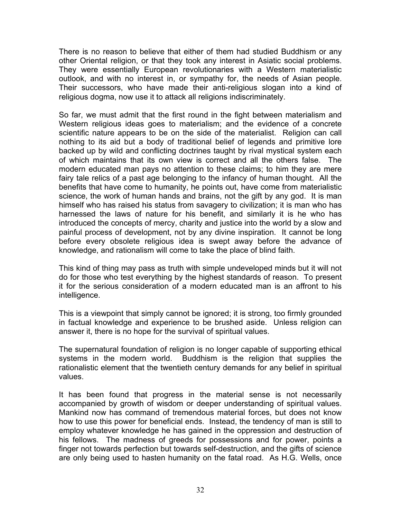There is no reason to believe that either of them had studied Buddhism or any other Oriental religion, or that they took any interest in Asiatic social problems. They were essentially European revolutionaries with a Western materialistic outlook, and with no interest in, or sympathy for, the needs of Asian people. Their successors, who have made their anti-religious slogan into a kind of religious dogma, now use it to attack all religions indiscriminately.

So far, we must admit that the first round in the fight between materialism and Western religious ideas goes to materialism; and the evidence of a concrete scientific nature appears to be on the side of the materialist. Religion can call nothing to its aid but a body of traditional belief of legends and primitive lore backed up by wild and conflicting doctrines taught by rival mystical system each of which maintains that its own view is correct and all the others false. The modern educated man pays no attention to these claims; to him they are mere fairy tale relics of a past age belonging to the infancy of human thought. All the benefits that have come to humanity, he points out, have come from materialistic science, the work of human hands and brains, not the gift by any god. It is man himself who has raised his status from savagery to civilization; it is man who has harnessed the laws of nature for his benefit, and similarly it is he who has introduced the concepts of mercy, charity and justice into the world by a slow and painful process of development, not by any divine inspiration. It cannot be long before every obsolete religious idea is swept away before the advance of knowledge, and rationalism will come to take the place of blind faith.

This kind of thing may pass as truth with simple undeveloped minds but it will not do for those who test everything by the highest standards of reason. To present it for the serious consideration of a modern educated man is an affront to his intelligence.

This is a viewpoint that simply cannot be ignored; it is strong, too firmly grounded in factual knowledge and experience to be brushed aside. Unless religion can answer it, there is no hope for the survival of spiritual values.

The supernatural foundation of religion is no longer capable of supporting ethical systems in the modern world. Buddhism is the religion that supplies the rationalistic element that the twentieth century demands for any belief in spiritual values.

It has been found that progress in the material sense is not necessarily accompanied by growth of wisdom or deeper understanding of spiritual values. Mankind now has command of tremendous material forces, but does not know how to use this power for beneficial ends. Instead, the tendency of man is still to employ whatever knowledge he has gained in the oppression and destruction of his fellows. The madness of greeds for possessions and for power, points a finger not towards perfection but towards self-destruction, and the gifts of science are only being used to hasten humanity on the fatal road. As H.G. Wells, once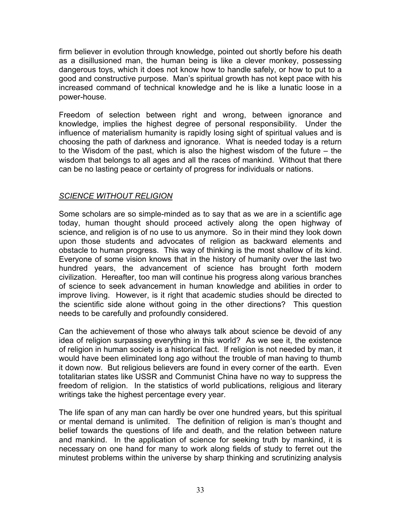firm believer in evolution through knowledge, pointed out shortly before his death as a disillusioned man, the human being is like a clever monkey, possessing dangerous toys, which it does not know how to handle safely, or how to put to a good and constructive purpose. Man's spiritual growth has not kept pace with his increased command of technical knowledge and he is like a lunatic loose in a power-house.

Freedom of selection between right and wrong, between ignorance and knowledge, implies the highest degree of personal responsibility. Under the influence of materialism humanity is rapidly losing sight of spiritual values and is choosing the path of darkness and ignorance. What is needed today is a return to the Wisdom of the past, which is also the highest wisdom of the future – the wisdom that belongs to all ages and all the races of mankind. Without that there can be no lasting peace or certainty of progress for individuals or nations.

# *SCIENCE WITHOUT RELIGION*

Some scholars are so simple-minded as to say that as we are in a scientific age today, human thought should proceed actively along the open highway of science, and religion is of no use to us anymore. So in their mind they look down upon those students and advocates of religion as backward elements and obstacle to human progress. This way of thinking is the most shallow of its kind. Everyone of some vision knows that in the history of humanity over the last two hundred years, the advancement of science has brought forth modern civilization. Hereafter, too man will continue his progress along various branches of science to seek advancement in human knowledge and abilities in order to improve living. However, is it right that academic studies should be directed to the scientific side alone without going in the other directions? This question needs to be carefully and profoundly considered.

Can the achievement of those who always talk about science be devoid of any idea of religion surpassing everything in this world? As we see it, the existence of religion in human society is a historical fact. If religion is not needed by man, it would have been eliminated long ago without the trouble of man having to thumb it down now. But religious believers are found in every corner of the earth. Even totalitarian states like USSR and Communist China have no way to suppress the freedom of religion. In the statistics of world publications, religious and literary writings take the highest percentage every year.

The life span of any man can hardly be over one hundred years, but this spiritual or mental demand is unlimited. The definition of religion is man's thought and belief towards the questions of life and death, and the relation between nature and mankind. In the application of science for seeking truth by mankind, it is necessary on one hand for many to work along fields of study to ferret out the minutest problems within the universe by sharp thinking and scrutinizing analysis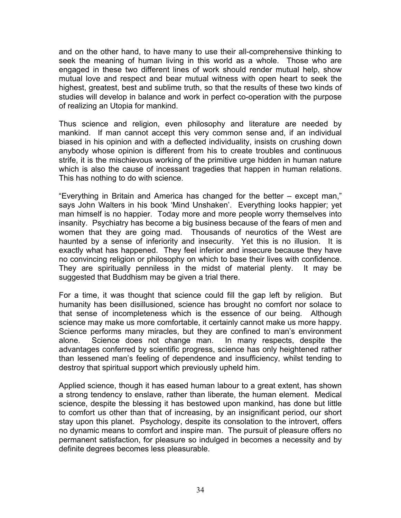and on the other hand, to have many to use their all-comprehensive thinking to seek the meaning of human living in this world as a whole. Those who are engaged in these two different lines of work should render mutual help, show mutual love and respect and bear mutual witness with open heart to seek the highest, greatest, best and sublime truth, so that the results of these two kinds of studies will develop in balance and work in perfect co-operation with the purpose of realizing an Utopia for mankind.

Thus science and religion, even philosophy and literature are needed by mankind. If man cannot accept this very common sense and, if an individual biased in his opinion and with a deflected individuality, insists on crushing down anybody whose opinion is different from his to create troubles and continuous strife, it is the mischievous working of the primitive urge hidden in human nature which is also the cause of incessant tragedies that happen in human relations. This has nothing to do with science.

"Everything in Britain and America has changed for the better – except man," says John Walters in his book 'Mind Unshaken'. Everything looks happier; yet man himself is no happier. Today more and more people worry themselves into insanity. Psychiatry has become a big business because of the fears of men and women that they are going mad. Thousands of neurotics of the West are haunted by a sense of inferiority and insecurity. Yet this is no illusion. It is exactly what has happened. They feel inferior and insecure because they have no convincing religion or philosophy on which to base their lives with confidence. They are spiritually penniless in the midst of material plenty. It may be suggested that Buddhism may be given a trial there.

For a time, it was thought that science could fill the gap left by religion. But humanity has been disillusioned, science has brought no comfort nor solace to that sense of incompleteness which is the essence of our being. Although science may make us more comfortable, it certainly cannot make us more happy. Science performs many miracles, but they are confined to man's environment alone. Science does not change man. In many respects, despite the advantages conferred by scientific progress, science has only heightened rather than lessened man's feeling of dependence and insufficiency, whilst tending to destroy that spiritual support which previously upheld him.

Applied science, though it has eased human labour to a great extent, has shown a strong tendency to enslave, rather than liberate, the human element. Medical science, despite the blessing it has bestowed upon mankind, has done but little to comfort us other than that of increasing, by an insignificant period, our short stay upon this planet. Psychology, despite its consolation to the introvert, offers no dynamic means to comfort and inspire man. The pursuit of pleasure offers no permanent satisfaction, for pleasure so indulged in becomes a necessity and by definite degrees becomes less pleasurable.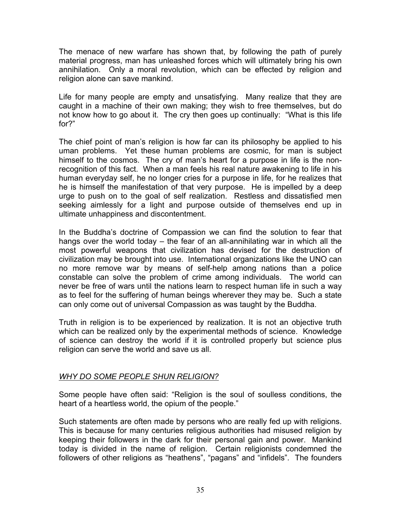The menace of new warfare has shown that, by following the path of purely material progress, man has unleashed forces which will ultimately bring his own annihilation. Only a moral revolution, which can be effected by religion and religion alone can save mankind.

Life for many people are empty and unsatisfying. Many realize that they are caught in a machine of their own making; they wish to free themselves, but do not know how to go about it. The cry then goes up continually: "What is this life for?"

The chief point of man's religion is how far can its philosophy be applied to his uman problems. Yet these human problems are cosmic, for man is subject himself to the cosmos. The cry of man's heart for a purpose in life is the nonrecognition of this fact. When a man feels his real nature awakening to life in his human everyday self, he no longer cries for a purpose in life, for he realizes that he is himself the manifestation of that very purpose. He is impelled by a deep urge to push on to the goal of self realization. Restless and dissatisfied men seeking aimlessly for a light and purpose outside of themselves end up in ultimate unhappiness and discontentment.

In the Buddha's doctrine of Compassion we can find the solution to fear that hangs over the world today – the fear of an all-annihilating war in which all the most powerful weapons that civilization has devised for the destruction of civilization may be brought into use. International organizations like the UNO can no more remove war by means of self-help among nations than a police constable can solve the problem of crime among individuals. The world can never be free of wars until the nations learn to respect human life in such a way as to feel for the suffering of human beings wherever they may be. Such a state can only come out of universal Compassion as was taught by the Buddha.

Truth in religion is to be experienced by realization. It is not an objective truth which can be realized only by the experimental methods of science. Knowledge of science can destroy the world if it is controlled properly but science plus religion can serve the world and save us all.

#### *WHY DO SOME PEOPLE SHUN RELIGION?*

Some people have often said: "Religion is the soul of soulless conditions, the heart of a heartless world, the opium of the people."

Such statements are often made by persons who are really fed up with religions. This is because for many centuries religious authorities had misused religion by keeping their followers in the dark for their personal gain and power. Mankind today is divided in the name of religion. Certain religionists condemned the followers of other religions as "heathens", "pagans" and "infidels". The founders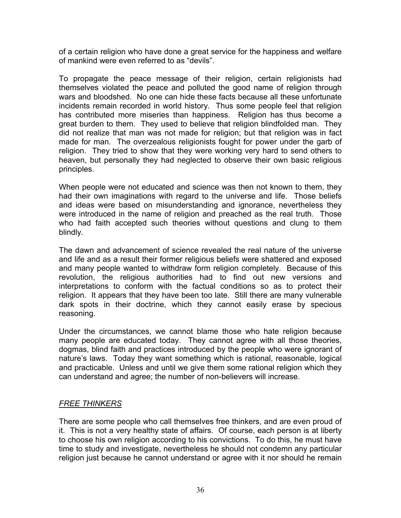of a certain religion who have done a great service for the happiness and welfare of mankind were even referred to as "devils".

To propagate the peace message of their religion, certain religionists had themselves violated the peace and polluted the good name of religion through wars and bloodshed. No one can hide these facts because all these unfortunate incidents remain recorded in world history. Thus some people feel that religion has contributed more miseries than happiness. Religion has thus become a great burden to them. They used to believe that religion blindfolded man. They did not realize that man was not made for religion; but that religion was in fact made for man. The overzealous religionists fought for power under the garb of religion. They tried to show that they were working very hard to send others to heaven, but personally they had neglected to observe their own basic religious principles.

When people were not educated and science was then not known to them, they had their own imaginations with regard to the universe and life. Those beliefs and ideas were based on misunderstanding and ignorance, nevertheless they were introduced in the name of religion and preached as the real truth. Those who had faith accepted such theories without questions and clung to them blindly.

The dawn and advancement of science revealed the real nature of the universe and life and as a result their former religious beliefs were shattered and exposed and many people wanted to withdraw form religion completely. Because of this revolution, the religious authorities had to find out new versions and interpretations to conform with the factual conditions so as to protect their religion. It appears that they have been too late. Still there are many vulnerable dark spots in their doctrine, which they cannot easily erase by specious reasoning.

Under the circumstances, we cannot blame those who hate religion because many people are educated today. They cannot agree with all those theories, dogmas, blind faith and practices introduced by the people who were ignorant of nature's laws. Today they want something which is rational, reasonable, logical and practicable. Unless and until we give them some rational religion which they can understand and agree; the number of non-believers will increase.

# *FREE THINKERS*

There are some people who call themselves free thinkers, and are even proud of it. This is not a very healthy state of affairs. Of course, each person is at liberty to choose his own religion according to his convictions. To do this, he must have time to study and investigate, nevertheless he should not condemn any particular religion just because he cannot understand or agree with it nor should he remain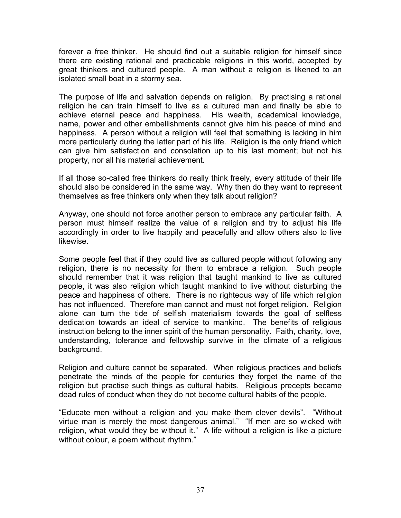forever a free thinker. He should find out a suitable religion for himself since there are existing rational and practicable religions in this world, accepted by great thinkers and cultured people. A man without a religion is likened to an isolated small boat in a stormy sea.

The purpose of life and salvation depends on religion. By practising a rational religion he can train himself to live as a cultured man and finally be able to achieve eternal peace and happiness. His wealth, academical knowledge, name, power and other embellishments cannot give him his peace of mind and happiness. A person without a religion will feel that something is lacking in him more particularly during the latter part of his life. Religion is the only friend which can give him satisfaction and consolation up to his last moment; but not his property, nor all his material achievement.

If all those so-called free thinkers do really think freely, every attitude of their life should also be considered in the same way. Why then do they want to represent themselves as free thinkers only when they talk about religion?

Anyway, one should not force another person to embrace any particular faith. A person must himself realize the value of a religion and try to adjust his life accordingly in order to live happily and peacefully and allow others also to live likewise.

Some people feel that if they could live as cultured people without following any religion, there is no necessity for them to embrace a religion. Such people should remember that it was religion that taught mankind to live as cultured people, it was also religion which taught mankind to live without disturbing the peace and happiness of others. There is no righteous way of life which religion has not influenced. Therefore man cannot and must not forget religion. Religion alone can turn the tide of selfish materialism towards the goal of selfless dedication towards an ideal of service to mankind. The benefits of religious instruction belong to the inner spirit of the human personality. Faith, charity, love, understanding, tolerance and fellowship survive in the climate of a religious background.

Religion and culture cannot be separated. When religious practices and beliefs penetrate the minds of the people for centuries they forget the name of the religion but practise such things as cultural habits. Religious precepts became dead rules of conduct when they do not become cultural habits of the people.

"Educate men without a religion and you make them clever devils". "Without virtue man is merely the most dangerous animal." "If men are so wicked with religion, what would they be without it." A life without a religion is like a picture without colour, a poem without rhythm."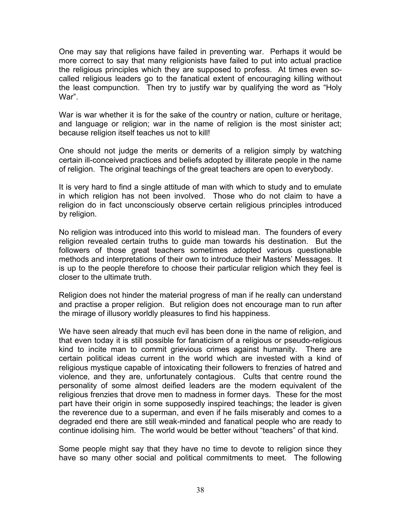One may say that religions have failed in preventing war. Perhaps it would be more correct to say that many religionists have failed to put into actual practice the religious principles which they are supposed to profess. At times even socalled religious leaders go to the fanatical extent of encouraging killing without the least compunction. Then try to justify war by qualifying the word as "Holy War".

War is war whether it is for the sake of the country or nation, culture or heritage, and language or religion; war in the name of religion is the most sinister act; because religion itself teaches us not to kill!

One should not judge the merits or demerits of a religion simply by watching certain ill-conceived practices and beliefs adopted by illiterate people in the name of religion. The original teachings of the great teachers are open to everybody.

It is very hard to find a single attitude of man with which to study and to emulate in which religion has not been involved. Those who do not claim to have a religion do in fact unconsciously observe certain religious principles introduced by religion.

No religion was introduced into this world to mislead man. The founders of every religion revealed certain truths to guide man towards his destination. But the followers of those great teachers sometimes adopted various questionable methods and interpretations of their own to introduce their Masters' Messages. It is up to the people therefore to choose their particular religion which they feel is closer to the ultimate truth.

Religion does not hinder the material progress of man if he really can understand and practise a proper religion. But religion does not encourage man to run after the mirage of illusory worldly pleasures to find his happiness.

We have seen already that much evil has been done in the name of religion, and that even today it is still possible for fanaticism of a religious or pseudo-religious kind to incite man to commit grievious crimes against humanity. There are certain political ideas current in the world which are invested with a kind of religious mystique capable of intoxicating their followers to frenzies of hatred and violence, and they are, unfortunately contagious. Cults that centre round the personality of some almost deified leaders are the modern equivalent of the religious frenzies that drove men to madness in former days. These for the most part have their origin in some supposedly inspired teachings; the leader is given the reverence due to a superman, and even if he fails miserably and comes to a degraded end there are still weak-minded and fanatical people who are ready to continue idolising him. The world would be better without "teachers" of that kind.

Some people might say that they have no time to devote to religion since they have so many other social and political commitments to meet. The following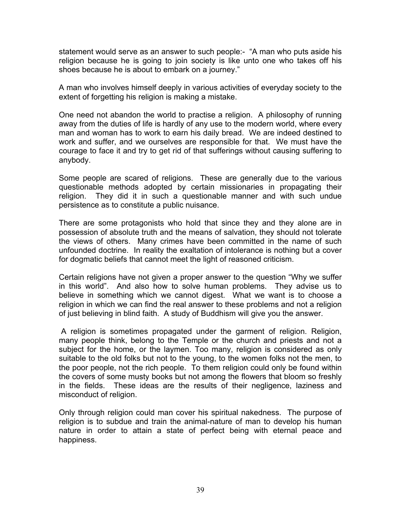statement would serve as an answer to such people:- "A man who puts aside his religion because he is going to join society is like unto one who takes off his shoes because he is about to embark on a journey."

A man who involves himself deeply in various activities of everyday society to the extent of forgetting his religion is making a mistake.

One need not abandon the world to practise a religion. A philosophy of running away from the duties of life is hardly of any use to the modern world, where every man and woman has to work to earn his daily bread. We are indeed destined to work and suffer, and we ourselves are responsible for that. We must have the courage to face it and try to get rid of that sufferings without causing suffering to anybody.

Some people are scared of religions. These are generally due to the various questionable methods adopted by certain missionaries in propagating their religion. They did it in such a questionable manner and with such undue persistence as to constitute a public nuisance.

There are some protagonists who hold that since they and they alone are in possession of absolute truth and the means of salvation, they should not tolerate the views of others. Many crimes have been committed in the name of such unfounded doctrine. In reality the exaltation of intolerance is nothing but a cover for dogmatic beliefs that cannot meet the light of reasoned criticism.

Certain religions have not given a proper answer to the question "Why we suffer in this world". And also how to solve human problems. They advise us to believe in something which we cannot digest. What we want is to choose a religion in which we can find the real answer to these problems and not a religion of just believing in blind faith. A study of Buddhism will give you the answer.

A religion is sometimes propagated under the garment of religion. Religion, many people think, belong to the Temple or the church and priests and not a subject for the home, or the laymen. Too many, religion is considered as only suitable to the old folks but not to the young, to the women folks not the men, to the poor people, not the rich people. To them religion could only be found within the covers of some musty books but not among the flowers that bloom so freshly in the fields. These ideas are the results of their negligence, laziness and misconduct of religion.

Only through religion could man cover his spiritual nakedness. The purpose of religion is to subdue and train the animal-nature of man to develop his human nature in order to attain a state of perfect being with eternal peace and happiness.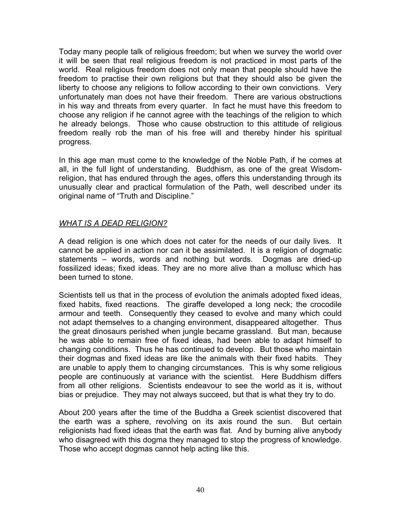Today many people talk of religious freedom; but when we survey the world over it will be seen that real religious freedom is not practiced in most parts of the world. Real religious freedom does not only mean that people should have the freedom to practise their own religions but that they should also be given the liberty to choose any religions to follow according to their own convictions. Very unfortunately man does not have their freedom. There are various obstructions in his way and threats from every quarter. In fact he must have this freedom to choose any religion if he cannot agree with the teachings of the religion to which he already belongs. Those who cause obstruction to this attitude of religious freedom really rob the man of his free will and thereby hinder his spiritual progress.

In this age man must come to the knowledge of the Noble Path, if he comes at all, in the full light of understanding. Buddhism, as one of the great Wisdomreligion, that has endured through the ages, offers this understanding through its unusually clear and practical formulation of the Path, well described under its original name of "Truth and Discipline."

# *WHAT IS A DEAD RELIGION?*

A dead religion is one which does not cater for the needs of our daily lives. It cannot be applied in action nor can it be assimilated. It is a religion of dogmatic statements – words, words and nothing but words. Dogmas are dried-up fossilized ideas; fixed ideas. They are no more alive than a mollusc which has been turned to stone.

Scientists tell us that in the process of evolution the animals adopted fixed ideas, fixed habits, fixed reactions. The giraffe developed a long neck; the crocodile armour and teeth. Consequently they ceased to evolve and many which could not adapt themselves to a changing environment, disappeared altogether. Thus the great dinosaurs perished when jungle became grassland. But man, because he was able to remain free of fixed ideas, had been able to adapt himself to changing conditions. Thus he has continued to develop. But those who maintain their dogmas and fixed ideas are like the animals with their fixed habits. They are unable to apply them to changing circumstances. This is why some religious people are continuously at variance with the scientist. Here Buddhism differs from all other religions. Scientists endeavour to see the world as it is, without bias or prejudice. They may not always succeed, but that is what they try to do.

About 200 years after the time of the Buddha a Greek scientist discovered that the earth was a sphere, revolving on its axis round the sun. But certain religionists had fixed ideas that the earth was flat. And by burning alive anybody who disagreed with this dogma they managed to stop the progress of knowledge. Those who accept dogmas cannot help acting like this.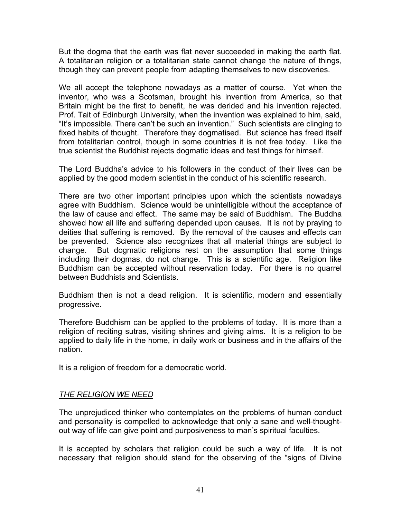But the dogma that the earth was flat never succeeded in making the earth flat. A totalitarian religion or a totalitarian state cannot change the nature of things, though they can prevent people from adapting themselves to new discoveries.

We all accept the telephone nowadays as a matter of course. Yet when the inventor, who was a Scotsman, brought his invention from America, so that Britain might be the first to benefit, he was derided and his invention rejected. Prof. Tait of Edinburgh University, when the invention was explained to him, said, "It's impossible. There can't be such an invention." Such scientists are clinging to fixed habits of thought. Therefore they dogmatised. But science has freed itself from totalitarian control, though in some countries it is not free today. Like the true scientist the Buddhist rejects dogmatic ideas and test things for himself.

The Lord Buddha's advice to his followers in the conduct of their lives can be applied by the good modern scientist in the conduct of his scientific research.

There are two other important principles upon which the scientists nowadays agree with Buddhism. Science would be unintelligible without the acceptance of the law of cause and effect. The same may be said of Buddhism. The Buddha showed how all life and suffering depended upon causes. It is not by praying to deities that suffering is removed. By the removal of the causes and effects can be prevented. Science also recognizes that all material things are subject to change. But dogmatic religions rest on the assumption that some things including their dogmas, do not change. This is a scientific age. Religion like Buddhism can be accepted without reservation today. For there is no quarrel between Buddhists and Scientists.

Buddhism then is not a dead religion. It is scientific, modern and essentially progressive.

Therefore Buddhism can be applied to the problems of today. It is more than a religion of reciting sutras, visiting shrines and giving alms. It is a religion to be applied to daily life in the home, in daily work or business and in the affairs of the nation.

It is a religion of freedom for a democratic world.

# *THE RELIGION WE NEED*

The unprejudiced thinker who contemplates on the problems of human conduct and personality is compelled to acknowledge that only a sane and well-thoughtout way of life can give point and purposiveness to man's spiritual faculties.

It is accepted by scholars that religion could be such a way of life. It is not necessary that religion should stand for the observing of the "signs of Divine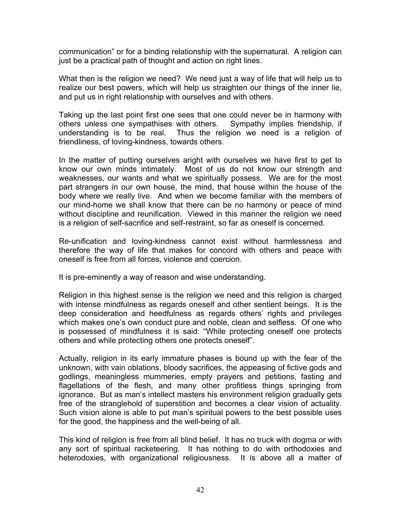communication" or for a binding relationship with the supernatural. A religion can just be a practical path of thought and action on right lines.

What then is the religion we need? We need just a way of life that will help us to realize our best powers, which will help us straighten our things of the inner lie, and put us in right relationship with ourselves and with others.

Taking up the last point first one sees that one could never be in harmony with others unless one sympathises with others. Sympathy implies friendship, if understanding is to be real. Thus the religion we need is a religion of friendliness, of loving-kindness, towards others.

In the matter of putting ourselves aright with ourselves we have first to get to know our own minds intimately. Most of us do not know our strength and weaknesses, our wants and what we spiritually possess. We are for the most part strangers in our own house, the mind, that house within the house of the body where we really live. And when we become familiar with the members of our mind-home we shall know that there can be no harmony or peace of mind without discipline and reunification. Viewed in this manner the religion we need is a religion of self-sacrifice and self-restraint, so far as oneself is concerned.

Re-unification and loving-kindness cannot exist without harmlessness and therefore the way of life that makes for concord with others and peace with oneself is free from all forces, violence and coercion.

It is pre-eminently a way of reason and wise understanding.

Religion in this highest sense is the religion we need and this religion is charged with intense mindfulness as regards oneself and other sentient beings. It is the deep consideration and heedfulness as regards others' rights and privileges which makes one's own conduct pure and noble, clean and selfless. Of one who is possessed of mindfulness it is said: "While protecting oneself one protects others and while protecting others one protects oneself".

Actually, religion in its early immature phases is bound up with the fear of the unknown, with vain oblations, bloody sacrifices, the appeasing of fictive gods and godlings, meaningless mummeries, empty prayers and petitions, fasting and flagellations of the flesh, and many other profitless things springing from ignorance. But as man's intellect masters his environment religion gradually gets free of the stranglehold of superstition and becomes a clear vision of actuality. Such vision alone is able to put man's spiritual powers to the best possible uses for the good, the happiness and the well-being of all.

This kind of religion is free from all blind belief. It has no truck with dogma or with any sort of spiritual racketeering. It has nothing to do with orthodoxies and heterodoxies, with organizational religiousness. It is above all a matter of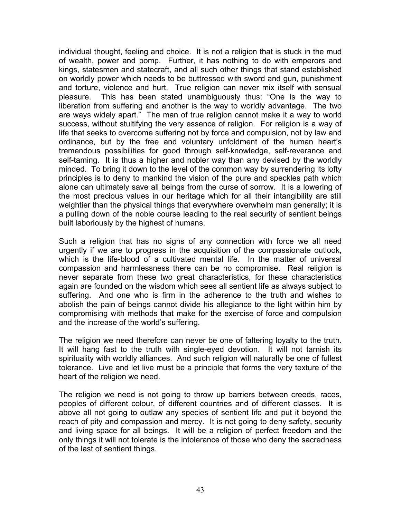individual thought, feeling and choice. It is not a religion that is stuck in the mud of wealth, power and pomp. Further, it has nothing to do with emperors and kings, statesmen and statecraft, and all such other things that stand established on worldly power which needs to be buttressed with sword and gun, punishment and torture, violence and hurt. True religion can never mix itself with sensual pleasure. This has been stated unambiguously thus: "One is the way to liberation from suffering and another is the way to worldly advantage. The two are ways widely apart." The man of true religion cannot make it a way to world success, without stultifying the very essence of religion. For religion is a way of life that seeks to overcome suffering not by force and compulsion, not by law and ordinance, but by the free and voluntary unfoldment of the human heart's tremendous possibilities for good through self-knowledge, self-reverance and self-taming. It is thus a higher and nobler way than any devised by the worldly minded. To bring it down to the level of the common way by surrendering its lofty principles is to deny to mankind the vision of the pure and speckles path which alone can ultimately save all beings from the curse of sorrow. It is a lowering of the most precious values in our heritage which for all their intangibility are still weightier than the physical things that everywhere overwhelm man generally; it is a pulling down of the noble course leading to the real security of sentient beings built laboriously by the highest of humans.

Such a religion that has no signs of any connection with force we all need urgently if we are to progress in the acquisition of the compassionate outlook, which is the life-blood of a cultivated mental life. In the matter of universal compassion and harmlessness there can be no compromise. Real religion is never separate from these two great characteristics, for these characteristics again are founded on the wisdom which sees all sentient life as always subject to suffering. And one who is firm in the adherence to the truth and wishes to abolish the pain of beings cannot divide his allegiance to the light within him by compromising with methods that make for the exercise of force and compulsion and the increase of the world's suffering.

The religion we need therefore can never be one of faltering loyalty to the truth. It will hang fast to the truth with single-eyed devotion. It will not tarnish its spirituality with worldly alliances. And such religion will naturally be one of fullest tolerance. Live and let live must be a principle that forms the very texture of the heart of the religion we need.

The religion we need is not going to throw up barriers between creeds, races, peoples of different colour, of different countries and of different classes. It is above all not going to outlaw any species of sentient life and put it beyond the reach of pity and compassion and mercy. It is not going to deny safety, security and living space for all beings. It will be a religion of perfect freedom and the only things it will not tolerate is the intolerance of those who deny the sacredness of the last of sentient things.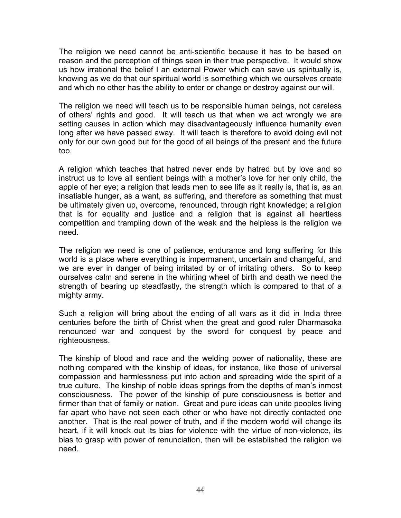The religion we need cannot be anti-scientific because it has to be based on reason and the perception of things seen in their true perspective. It would show us how irrational the belief I an external Power which can save us spiritually is, knowing as we do that our spiritual world is something which we ourselves create and which no other has the ability to enter or change or destroy against our will.

The religion we need will teach us to be responsible human beings, not careless of others' rights and good. It will teach us that when we act wrongly we are setting causes in action which may disadvantageously influence humanity even long after we have passed away. It will teach is therefore to avoid doing evil not only for our own good but for the good of all beings of the present and the future too.

A religion which teaches that hatred never ends by hatred but by love and so instruct us to love all sentient beings with a mother's love for her only child, the apple of her eye; a religion that leads men to see life as it really is, that is, as an insatiable hunger, as a want, as suffering, and therefore as something that must be ultimately given up, overcome, renounced, through right knowledge; a religion that is for equality and justice and a religion that is against all heartless competition and trampling down of the weak and the helpless is the religion we need.

The religion we need is one of patience, endurance and long suffering for this world is a place where everything is impermanent, uncertain and changeful, and we are ever in danger of being irritated by or of irritating others. So to keep ourselves calm and serene in the whirling wheel of birth and death we need the strength of bearing up steadfastly, the strength which is compared to that of a mighty army.

Such a religion will bring about the ending of all wars as it did in India three centuries before the birth of Christ when the great and good ruler Dharmasoka renounced war and conquest by the sword for conquest by peace and righteousness.

The kinship of blood and race and the welding power of nationality, these are nothing compared with the kinship of ideas, for instance, like those of universal compassion and harmlessness put into action and spreading wide the spirit of a true culture. The kinship of noble ideas springs from the depths of man's inmost consciousness. The power of the kinship of pure consciousness is better and firmer than that of family or nation. Great and pure ideas can unite peoples living far apart who have not seen each other or who have not directly contacted one another. That is the real power of truth, and if the modern world will change its heart, if it will knock out its bias for violence with the virtue of non-violence, its bias to grasp with power of renunciation, then will be established the religion we need.